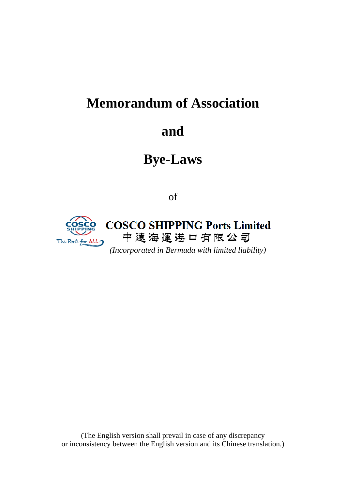# **Memorandum of Association**

# **and**

# **Bye-Laws**

of



(The English version shall prevail in case of any discrepancy or inconsistency between the English version and its Chinese translation.)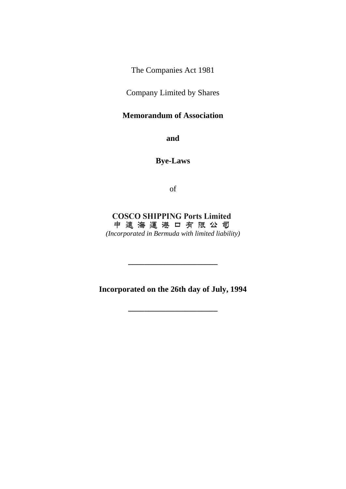The Companies Act 1981

Company Limited by Shares

## **Memorandum of Association**

**and**

**Bye-Laws**

of

**COSCO SHIPPING Ports Limited** 中遠海運港口有限公司 *(Incorporated in Bermuda with limited liability)*

**Incorporated on the 26th day of July, 1994**

**\_\_\_\_\_\_\_\_\_\_\_\_\_\_\_\_\_\_\_\_\_\_**

**\_\_\_\_\_\_\_\_\_\_\_\_\_\_\_\_\_\_\_\_\_\_**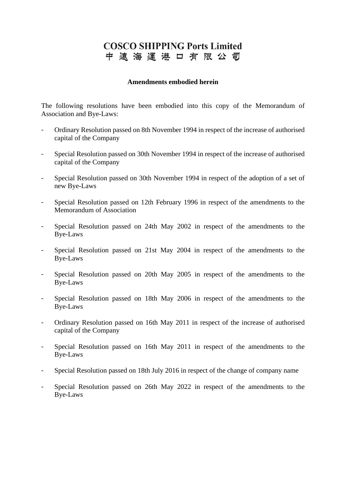## **COSCO SHIPPING Ports Limited** 中遠海運港口有限公司

#### **Amendments embodied herein**

The following resolutions have been embodied into this copy of the Memorandum of Association and Bye-Laws:

- Ordinary Resolution passed on 8th November 1994 in respect of the increase of authorised capital of the Company
- Special Resolution passed on 30th November 1994 in respect of the increase of authorised capital of the Company
- Special Resolution passed on 30th November 1994 in respect of the adoption of a set of new Bye-Laws
- Special Resolution passed on 12th February 1996 in respect of the amendments to the Memorandum of Association
- Special Resolution passed on 24th May 2002 in respect of the amendments to the Bye-Laws
- Special Resolution passed on 21st May 2004 in respect of the amendments to the Bye-Laws
- Special Resolution passed on 20th May 2005 in respect of the amendments to the Bye-Laws
- Special Resolution passed on 18th May 2006 in respect of the amendments to the Bye-Laws
- Ordinary Resolution passed on 16th May 2011 in respect of the increase of authorised capital of the Company
- Special Resolution passed on 16th May 2011 in respect of the amendments to the Bye-Laws
- Special Resolution passed on 18th July 2016 in respect of the change of company name
- Special Resolution passed on 26th May 2022 in respect of the amendments to the Bye-Laws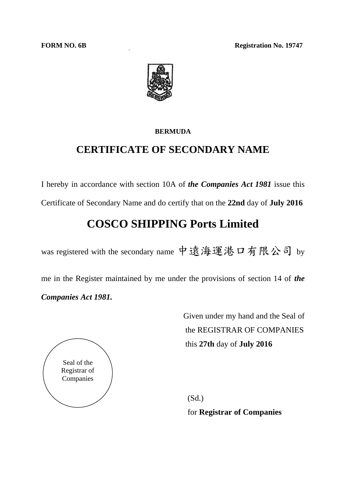**FORM NO. 6B Registration No. 19747** 



#### **BERMUDA**

## **CERTIFICATE OF SECONDARY NAME**

I hereby in accordance with section 10A of *the Companies Act 1981* issue this

Certificate of Secondary Name and do certify that on the **22nd** day of **July 2016**

## **COSCO SHIPPING Ports Limited**

was registered with the secondary name 中遠海運港口有限公司 by

me in the Register maintained by me under the provisions of section 14 of *the Companies Act 1981.*

> Given under my hand and the Seal of the REGISTRAR OF COMPANIES this **27th** day of **July 2016**



(Sd.) for **Registrar of Companies**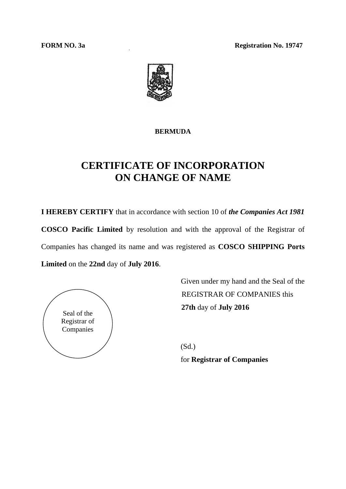**FORM NO. 3a Registration No. 19747** 



#### **BERMUDA**

## **CERTIFICATE OF INCORPORATION ON CHANGE OF NAME**

**I HEREBY CERTIFY** that in accordance with section 10 of *the Companies Act 1981* **COSCO Pacific Limited** by resolution and with the approval of the Registrar of Companies has changed its name and was registered as **COSCO SHIPPING Ports Limited** on the **22nd** day of **July 2016**.



Given under my hand and the Seal of the REGISTRAR OF COMPANIES this **27th** day of **July 2016**

(Sd.) for **Registrar of Companies**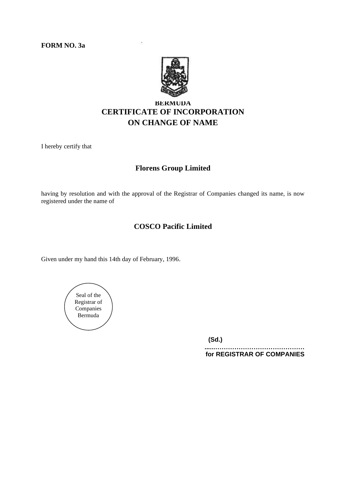**FORM NO. 3a**



## **BERMUDA CERTIFICATE OF INCORPORATION ON CHANGE OF NAME**

I hereby certify that

#### **Florens Group Limited**

having by resolution and with the approval of the Registrar of Companies changed its name, is now registered under the name of

### **COSCO Pacific Limited**

Given under my hand this 14th day of February, 1996.



**(Sd.)**

**......…………………………………… for REGISTRAR OF COMPANIES**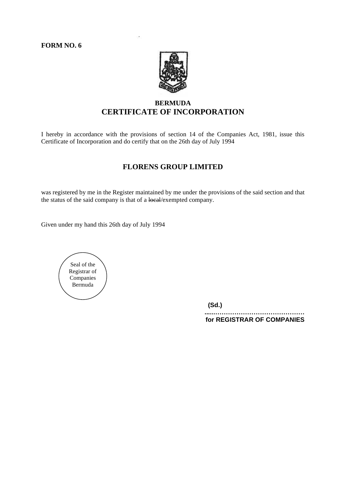

### **BERMUDA CERTIFICATE OF INCORPORATION**

I hereby in accordance with the provisions of section 14 of the Companies Act, 1981, issue this Certificate of Incorporation and do certify that on the 26th day of July 1994

#### **FLORENS GROUP LIMITED**

was registered by me in the Register maintained by me under the provisions of the said section and that the status of the said company is that of a local/exempted company.

Given under my hand this 26th day of July 1994



**(Sd.)**

**......…………………………………… for REGISTRAR OF COMPANIES**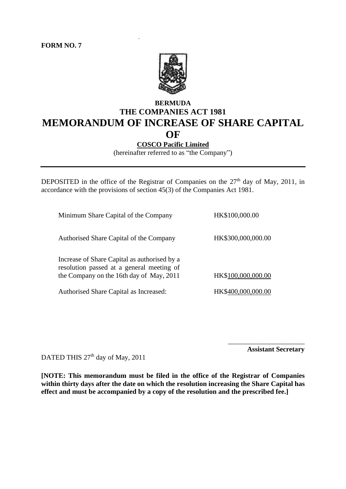

## **BERMUDA THE COMPANIES ACT 1981 MEMORANDUM OF INCREASE OF SHARE CAPITAL OF**

### **COSCO Pacific Limited**

(hereinafter referred to as "the Company")

DEPOSITED in the office of the Registrar of Companies on the 27<sup>th</sup> day of May, 2011, in accordance with the provisions of section 45(3) of the Companies Act 1981.

| Minimum Share Capital of the Company                                                                                                  | HK\$100,000.00     |
|---------------------------------------------------------------------------------------------------------------------------------------|--------------------|
| Authorised Share Capital of the Company                                                                                               | HK\$300,000,000.00 |
| Increase of Share Capital as authorised by a<br>resolution passed at a general meeting of<br>the Company on the 16th day of May, 2011 | HK\$100,000,000.00 |
| Authorised Share Capital as Increased:                                                                                                | HK\$400,000,000.00 |

**Assistant Secretary**

\_\_\_\_\_\_\_\_\_\_\_\_\_\_\_\_\_\_\_\_\_\_

DATED THIS 27<sup>th</sup> day of May, 2011

**[NOTE: This memorandum must be filed in the office of the Registrar of Companies within thirty days after the date on which the resolution increasing the Share Capital has effect and must be accompanied by a copy of the resolution and the prescribed fee.]**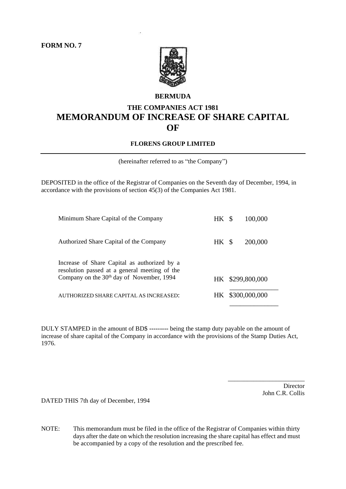

#### **BERMUDA**

## **THE COMPANIES ACT 1981 MEMORANDUM OF INCREASE OF SHARE CAPITAL OF**

#### **FLORENS GROUP LIMITED**

(hereinafter referred to as "the Company")

DEPOSITED in the office of the Registrar of Companies on the Seventh day of December, 1994, in accordance with the provisions of section 45(3) of the Companies Act 1981.

| Minimum Share Capital of the Company                                                                                                                   | HK \$ | 100,000          |  |
|--------------------------------------------------------------------------------------------------------------------------------------------------------|-------|------------------|--|
| Authorized Share Capital of the Company                                                                                                                | HK \$ | 200,000          |  |
| Increase of Share Capital as authorized by a<br>resolution passed at a general meeting of the<br>Company on the 30 <sup>th</sup> day of November, 1994 |       | HK \$299,800,000 |  |
| AUTHORIZED SHARE CAPITAL AS INCREASED:                                                                                                                 | HK -  | \$300,000,000    |  |
|                                                                                                                                                        |       |                  |  |

DULY STAMPED in the amount of BD\$ **---------** being the stamp duty payable on the amount of increase of share capital of the Company in accordance with the provisions of the Stamp Duties Act, 1976.

> Director John C.R. Collis

\_\_\_\_\_\_\_\_\_\_\_\_\_\_\_\_\_\_\_\_\_\_\_\_

DATED THIS 7th day of December, 1994

NOTE: This memorandum must be filed in the office of the Registrar of Companies within thirty days after the date on which the resolution increasing the share capital has effect and must be accompanied by a copy of the resolution and the prescribed fee.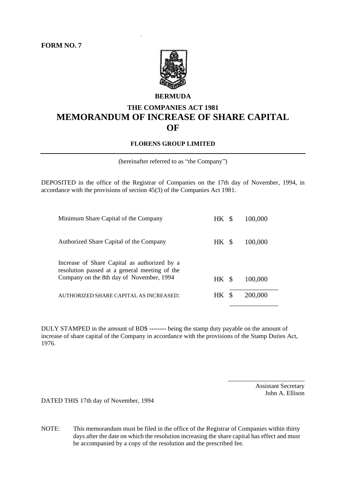

#### **BERMUDA**

## **THE COMPANIES ACT 1981 MEMORANDUM OF INCREASE OF SHARE CAPITAL OF**

#### **FLORENS GROUP LIMITED**

(hereinafter referred to as "the Company")

DEPOSITED in the office of the Registrar of Companies on the 17th day of November, 1994, in accordance with the provisions of section 45(3) of the Companies Act 1981.

| Minimum Share Capital of the Company                                                                                                      | HK \$ | 100,000 |
|-------------------------------------------------------------------------------------------------------------------------------------------|-------|---------|
| Authorized Share Capital of the Company                                                                                                   | HK \$ | 100,000 |
| Increase of Share Capital as authorized by a<br>resolution passed at a general meeting of the<br>Company on the 8th day of November, 1994 | HK \$ | 100,000 |
| AUTHORIZED SHARE CAPITAL AS INCREASED:                                                                                                    | HK \$ | 200,000 |

DULY STAMPED in the amount of BD\$ **--------** being the stamp duty payable on the amount of increase of share capital of the Company in accordance with the provisions of the Stamp Duties Act, 1976.

> Assistant Secretary John A. Ellison

\_\_\_\_\_\_\_\_\_\_\_\_\_\_\_\_\_\_\_\_\_\_\_\_

DATED THIS 17th day of November, 1994

NOTE: This memorandum must be filed in the office of the Registrar of Companies within thirty days after the date on which the resolution increasing the share capital has effect and must be accompanied by a copy of the resolution and the prescribed fee.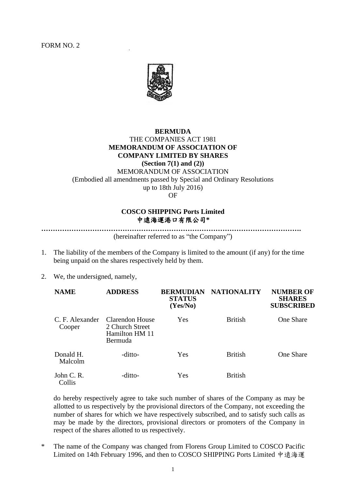

#### **BERMUDA**

#### THE COMPANIES ACT 1981 **MEMORANDUM OF ASSOCIATION OF COMPANY LIMITED BY SHARES (Section 7(1) and (2))** MEMORANDUM OF ASSOCIATION (Embodied all amendments passed by Special and Ordinary Resolutions up to 18th July 2016)

**OF** 

#### **COSCO SHIPPING Ports Limited** 中遠海運港口有限公司**\***

**………………………………………………………………………………………………….**

(hereinafter referred to as "the Company")

- 1. The liability of the members of the Company is limited to the amount (if any) for the time being unpaid on the shares respectively held by them.
- 2. We, the undersigned, namely,

| <b>NAME</b>               | <b>ADDRESS</b>                                                  | <b>BERMUDIAN</b><br><b>STATUS</b><br>(Yes/No) | <b>NATIONALITY</b> | <b>NUMBER OF</b><br><b>SHARES</b><br><b>SUBSCRIBED</b> |
|---------------------------|-----------------------------------------------------------------|-----------------------------------------------|--------------------|--------------------------------------------------------|
| C. F. Alexander<br>Cooper | Clarendon House<br>2 Church Street<br>Hamilton HM 11<br>Bermuda | Yes                                           | <b>British</b>     | <b>One Share</b>                                       |
| Donald H.<br>Malcolm      | -ditto-                                                         | Yes                                           | <b>British</b>     | <b>One Share</b>                                       |
| John C. R.<br>Collis      | -ditto-                                                         | Yes                                           | <b>British</b>     |                                                        |

do hereby respectively agree to take such number of shares of the Company as may be allotted to us respectively by the provisional directors of the Company, not exceeding the number of shares for which we have respectively subscribed, and to satisfy such calls as may be made by the directors, provisional directors or promoters of the Company in respect of the shares allotted to us respectively.

\* The name of the Company was changed from Florens Group Limited to COSCO Pacific Limited on 14th February 1996, and then to COSCO SHIPPING Ports Limited 中遠海運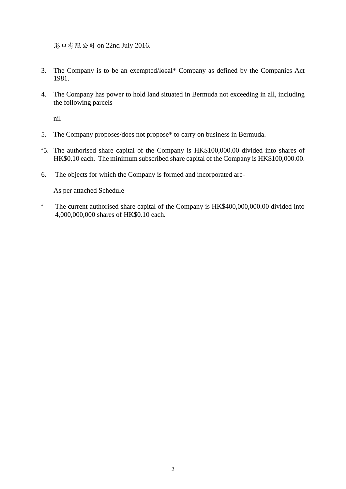港口有限公司 on 22nd July 2016.

- 3. The Company is to be an exempted/local\* Company as defined by the Companies Act 1981.
- 4. The Company has power to hold land situated in Bermuda not exceeding in all, including the following parcels-

nil

- 5. The Company proposes/does not propose\* to carry on business in Bermuda.
- # 5. The authorised share capital of the Company is HK\$100,000.00 divided into shares of HK\$0.10 each. The minimum subscribed share capital of the Company is HK\$100,000.00.
- 6. The objects for which the Company is formed and incorporated are-

As per attached Schedule

# The current authorised share capital of the Company is HK\$400,000,000.00 divided into 4,000,000,000 shares of HK\$0.10 each.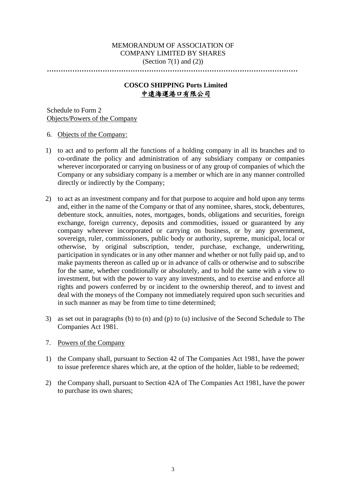#### MEMORANDUM OF ASSOCIATION OF COMPANY LIMITED BY SHARES (Section  $7(1)$  and  $(2)$ )

**………………………………………………………………………………………………**

#### **COSCO SHIPPING Ports Limited** 中遠海運港口有限公司

Schedule to Form 2 Objects/Powers of the Company

6. Objects of the Company:

- 1) to act and to perform all the functions of a holding company in all its branches and to co-ordinate the policy and administration of any subsidiary company or companies wherever incorporated or carrying on business or of any group of companies of which the Company or any subsidiary company is a member or which are in any manner controlled directly or indirectly by the Company;
- 2) to act as an investment company and for that purpose to acquire and hold upon any terms and, either in the name of the Company or that of any nominee, shares, stock, debentures, debenture stock, annuities, notes, mortgages, bonds, obligations and securities, foreign exchange, foreign currency, deposits and commodities, issued or guaranteed by any company wherever incorporated or carrying on business, or by any government, sovereign, ruler, commissioners, public body or authority, supreme, municipal, local or otherwise, by original subscription, tender, purchase, exchange, underwriting, participation in syndicates or in any other manner and whether or not fully paid up, and to make payments thereon as called up or in advance of calls or otherwise and to subscribe for the same, whether conditionally or absolutely, and to hold the same with a view to investment, but with the power to vary any investments, and to exercise and enforce all rights and powers conferred by or incident to the ownership thereof, and to invest and deal with the moneys of the Company not immediately required upon such securities and in such manner as may be from time to time determined;
- 3) as set out in paragraphs (b) to (n) and (p) to (u) inclusive of the Second Schedule to The Companies Act 1981.
- 7. Powers of the Company
- 1) the Company shall, pursuant to Section 42 of The Companies Act 1981, have the power to issue preference shares which are, at the option of the holder, liable to be redeemed;
- 2) the Company shall, pursuant to Section 42A of The Companies Act 1981, have the power to purchase its own shares;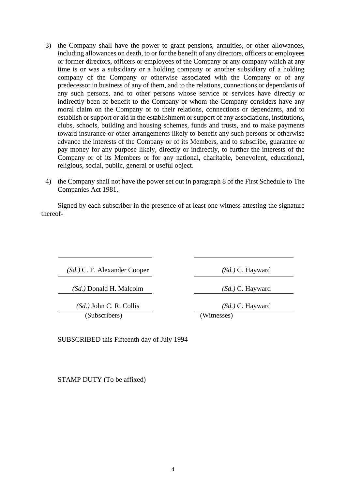- 3) the Company shall have the power to grant pensions, annuities, or other allowances, including allowances on death, to or for the benefit of any directors, officers or employees or former directors, officers or employees of the Company or any company which at any time is or was a subsidiary or a holding company or another subsidiary of a holding company of the Company or otherwise associated with the Company or of any predecessor in business of any of them, and to the relations, connections or dependants of any such persons, and to other persons whose service or services have directly or indirectly been of benefit to the Company or whom the Company considers have any moral claim on the Company or to their relations, connections or dependants, and to establish or support or aid in the establishment or support of any associations, institutions, clubs, schools, building and housing schemes, funds and trusts, and to make payments toward insurance or other arrangements likely to benefit any such persons or otherwise advance the interests of the Company or of its Members, and to subscribe, guarantee or pay money for any purpose likely, directly or indirectly, to further the interests of the Company or of its Members or for any national, charitable, benevolent, educational, religious, social, public, general or useful object.
- 4) the Company shall not have the power set out in paragraph 8 of the First Schedule to The Companies Act 1981.

Signed by each subscriber in the presence of at least one witness attesting the signature thereof-

*(Sd.)* C. F. Alexander Cooper *(Sd.)* C. Hayward

*(Sd.)* Donald H. Malcolm *(Sd.)* C. Hayward

*(Sd.)* John C. R. Collis *(Sd.)* C. Hayward (Subscribers) (Witnesses)

SUBSCRIBED this Fifteenth day of July 1994

STAMP DUTY (To be affixed)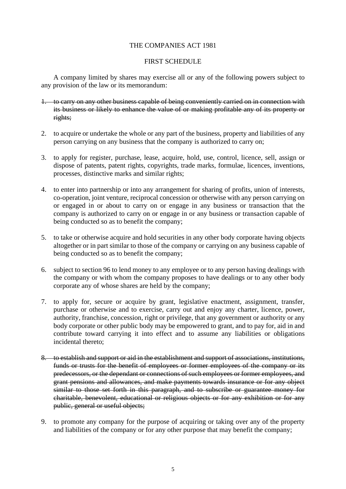#### THE COMPANIES ACT 1981

#### FIRST SCHEDULE

A company limited by shares may exercise all or any of the following powers subject to any provision of the law or its memorandum:

- 1. to carry on any other business capable of being conveniently carried on in connection with its business or likely to enhance the value of or making profitable any of its property or rights;
- 2. to acquire or undertake the whole or any part of the business, property and liabilities of any person carrying on any business that the company is authorized to carry on;
- 3. to apply for register, purchase, lease, acquire, hold, use, control, licence, sell, assign or dispose of patents, patent rights, copyrights, trade marks, formulae, licences, inventions, processes, distinctive marks and similar rights;
- 4. to enter into partnership or into any arrangement for sharing of profits, union of interests, co-operation, joint venture, reciprocal concession or otherwise with any person carrying on or engaged in or about to carry on or engage in any business or transaction that the company is authorized to carry on or engage in or any business or transaction capable of being conducted so as to benefit the company;
- 5. to take or otherwise acquire and hold securities in any other body corporate having objects altogether or in part similar to those of the company or carrying on any business capable of being conducted so as to benefit the company;
- 6. subject to section 96 to lend money to any employee or to any person having dealings with the company or with whom the company proposes to have dealings or to any other body corporate any of whose shares are held by the company;
- 7. to apply for, secure or acquire by grant, legislative enactment, assignment, transfer, purchase or otherwise and to exercise, carry out and enjoy any charter, licence, power, authority, franchise, concession, right or privilege, that any government or authority or any body corporate or other public body may be empowered to grant, and to pay for, aid in and contribute toward carrying it into effect and to assume any liabilities or obligations incidental thereto;
- 8. to establish and support or aid in the establishment and support of associations, institutions, funds or trusts for the benefit of employees or former employees of the company or its predecessors, or the dependant or connections of such employees or former employees, and grant pensions and allowances, and make payments towards insurance or for any object similar to those set forth in this paragraph, and to subscribe or guarantee money for charitable, benevolent, educational or religious objects or for any exhibition or for any public, general or useful objects;
- 9. to promote any company for the purpose of acquiring or taking over any of the property and liabilities of the company or for any other purpose that may benefit the company;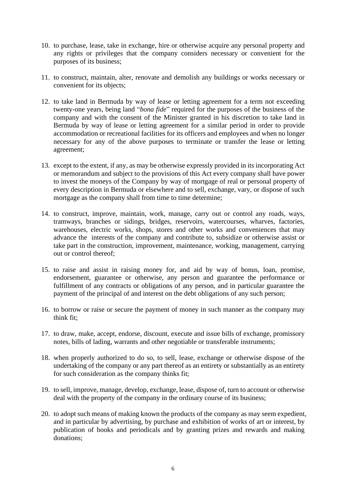- 10. to purchase, lease, take in exchange, hire or otherwise acquire any personal property and any rights or privileges that the company considers necessary or convenient for the purposes of its business;
- 11. to construct, maintain, alter, renovate and demolish any buildings or works necessary or convenient for its objects;
- 12. to take land in Bermuda by way of lease or letting agreement for a term not exceeding twenty-one years, being land "*bona fide*" required for the purposes of the business of the company and with the consent of the Minister granted in his discretion to take land in Bermuda by way of lease or letting agreement for a similar period in order to provide accommodation or recreational facilities for its officers and employees and when no longer necessary for any of the above purposes to terminate or transfer the lease or letting agreement;
- 13. except to the extent, if any, as may be otherwise expressly provided in its incorporating Act or memorandum and subject to the provisions of this Act every company shall have power to invest the moneys of the Company by way of mortgage of real or personal property of every description in Bermuda or elsewhere and to sell, exchange, vary, or dispose of such mortgage as the company shall from time to time determine;
- 14. to construct, improve, maintain, work, manage, carry out or control any roads, ways, tramways, branches or sidings, bridges, reservoirs, watercourses, wharves, factories, warehouses, electric works, shops, stores and other works and conveniences that may advance the interests of the company and contribute to, subsidize or otherwise assist or take part in the construction, improvement, maintenance, working, management, carrying out or control thereof;
- 15. to raise and assist in raising money for, and aid by way of bonus, loan, promise, endorsement, guarantee or otherwise, any person and guarantee the performance or fulfillment of any contracts or obligations of any person, and in particular guarantee the payment of the principal of and interest on the debt obligations of any such person;
- 16. to borrow or raise or secure the payment of money in such manner as the company may think fit;
- 17. to draw, make, accept, endorse, discount, execute and issue bills of exchange, promissory notes, bills of lading, warrants and other negotiable or transferable instruments;
- 18. when properly authorized to do so, to sell, lease, exchange or otherwise dispose of the undertaking of the company or any part thereof as an entirety or substantially as an entirety for such consideration as the company thinks fit;
- 19. to sell, improve, manage, develop, exchange, lease, dispose of, turn to account or otherwise deal with the property of the company in the ordinary course of its business;
- 20. to adopt such means of making known the products of the company as may seem expedient, and in particular by advertising, by purchase and exhibition of works of art or interest, by publication of books and periodicals and by granting prizes and rewards and making donations;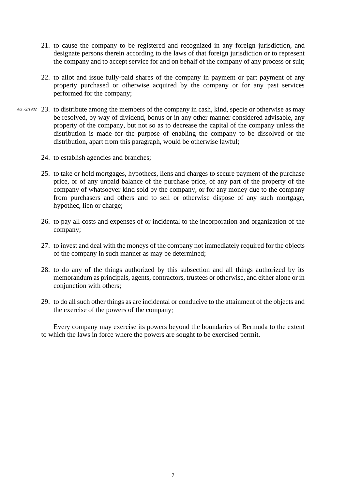- 21. to cause the company to be registered and recognized in any foreign jurisdiction, and designate persons therein according to the laws of that foreign jurisdiction or to represent the company and to accept service for and on behalf of the company of any process or suit;
- 22. to allot and issue fully-paid shares of the company in payment or part payment of any property purchased or otherwise acquired by the company or for any past services performed for the company;
- 23. to distribute among the members of the company in cash, kind, specie or otherwise as may *Act 72/1982*be resolved, by way of dividend, bonus or in any other manner considered advisable, any property of the company, but not so as to decrease the capital of the company unless the distribution is made for the purpose of enabling the company to be dissolved or the distribution, apart from this paragraph, would be otherwise lawful;
	- 24. to establish agencies and branches;
	- 25. to take or hold mortgages, hypothecs, liens and charges to secure payment of the purchase price, or of any unpaid balance of the purchase price, of any part of the property of the company of whatsoever kind sold by the company, or for any money due to the company from purchasers and others and to sell or otherwise dispose of any such mortgage, hypothec, lien or charge;
	- 26. to pay all costs and expenses of or incidental to the incorporation and organization of the company;
	- 27. to invest and deal with the moneys of the company not immediately required for the objects of the company in such manner as may be determined;
	- 28. to do any of the things authorized by this subsection and all things authorized by its memorandum as principals, agents, contractors, trustees or otherwise, and either alone or in conjunction with others;
	- 29. to do all such other things as are incidental or conducive to the attainment of the objects and the exercise of the powers of the company;

Every company may exercise its powers beyond the boundaries of Bermuda to the extent to which the laws in force where the powers are sought to be exercised permit.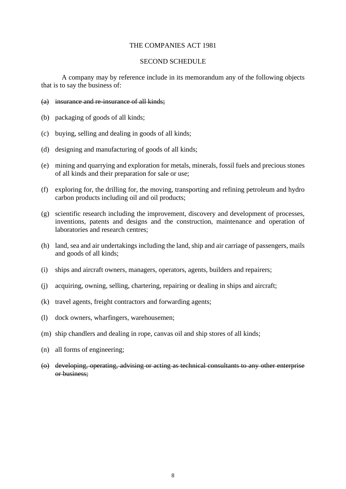#### THE COMPANIES ACT 1981

#### SECOND SCHEDULE

A company may by reference include in its memorandum any of the following objects that is to say the business of:

- (a) insurance and re-insurance of all kinds;
- (b) packaging of goods of all kinds;
- (c) buying, selling and dealing in goods of all kinds;
- (d) designing and manufacturing of goods of all kinds;
- (e) mining and quarrying and exploration for metals, minerals, fossil fuels and precious stones of all kinds and their preparation for sale or use;
- (f) exploring for, the drilling for, the moving, transporting and refining petroleum and hydro carbon products including oil and oil products;
- (g) scientific research including the improvement, discovery and development of processes, inventions, patents and designs and the construction, maintenance and operation of laboratories and research centres:
- (h) land, sea and air undertakings including the land, ship and air carriage of passengers, mails and goods of all kinds;
- (i) ships and aircraft owners, managers, operators, agents, builders and repairers;
- (j) acquiring, owning, selling, chartering, repairing or dealing in ships and aircraft;
- (k) travel agents, freight contractors and forwarding agents;
- (l) dock owners, wharfingers, warehousemen;
- (m) ship chandlers and dealing in rope, canvas oil and ship stores of all kinds;
- (n) all forms of engineering;
- (o) developing, operating, advising or acting as technical consultants to any other enterprise or business;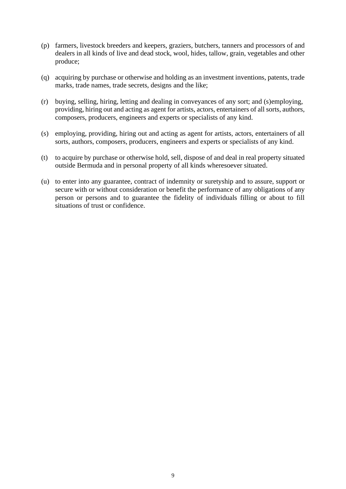- (p) farmers, livestock breeders and keepers, graziers, butchers, tanners and processors of and dealers in all kinds of live and dead stock, wool, hides, tallow, grain, vegetables and other produce;
- (q) acquiring by purchase or otherwise and holding as an investment inventions, patents, trade marks, trade names, trade secrets, designs and the like;
- (r) buying, selling, hiring, letting and dealing in conveyances of any sort; and (s)employing, providing, hiring out and acting as agent for artists, actors, entertainers of all sorts, authors, composers, producers, engineers and experts or specialists of any kind.
- (s) employing, providing, hiring out and acting as agent for artists, actors, entertainers of all sorts, authors, composers, producers, engineers and experts or specialists of any kind.
- (t) to acquire by purchase or otherwise hold, sell, dispose of and deal in real property situated outside Bermuda and in personal property of all kinds wheresoever situated.
- (u) to enter into any guarantee, contract of indemnity or suretyship and to assure, support or secure with or without consideration or benefit the performance of any obligations of any person or persons and to guarantee the fidelity of individuals filling or about to fill situations of trust or confidence.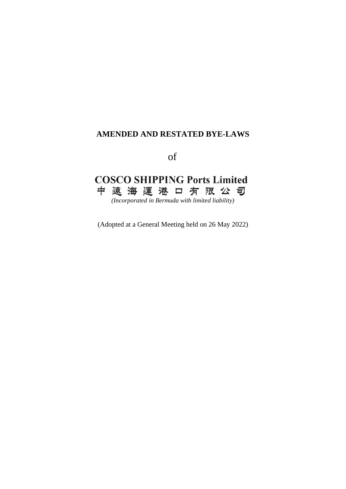### **AMENDED AND RESTATED BYE-LAWS**

of

## **COSCO SHIPPING Ports Limited** 中 遠 海 運 港 口 有 限 公 司

*(Incorporated in Bermuda with limited liability)*

(Adopted at a General Meeting held on 26 May 2022)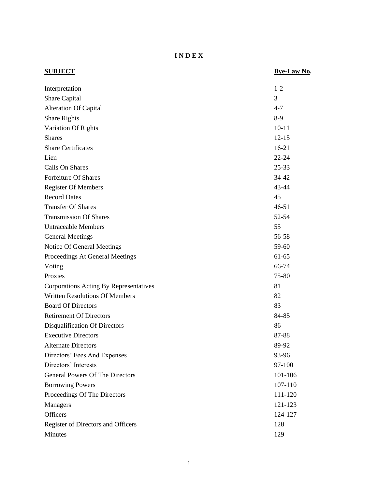**I N D E X**

| <b>SUBJECT</b>                         | Bye-Law No. |
|----------------------------------------|-------------|
| Interpretation                         | $1 - 2$     |
| Share Capital                          | 3           |
| <b>Alteration Of Capital</b>           | $4 - 7$     |
| <b>Share Rights</b>                    | $8-9$       |
| Variation Of Rights                    | $10 - 11$   |
| <b>Shares</b>                          | $12 - 15$   |
| <b>Share Certificates</b>              | $16-21$     |
| Lien                                   | $22 - 24$   |
| Calls On Shares                        | $25 - 33$   |
| <b>Forfeiture Of Shares</b>            | 34-42       |
| <b>Register Of Members</b>             | 43-44       |
| <b>Record Dates</b>                    | 45          |
| <b>Transfer Of Shares</b>              | $46 - 51$   |
| <b>Transmission Of Shares</b>          | 52-54       |
| <b>Untraceable Members</b>             | 55          |
| <b>General Meetings</b>                | 56-58       |
| Notice Of General Meetings             | 59-60       |
| Proceedings At General Meetings        | 61-65       |
| Voting                                 | 66-74       |
| Proxies                                | 75-80       |
| Corporations Acting By Representatives | 81          |
| <b>Written Resolutions Of Members</b>  | 82          |
| <b>Board Of Directors</b>              | 83          |
| <b>Retirement Of Directors</b>         | 84-85       |
| Disqualification Of Directors          | 86          |
| <b>Executive Directors</b>             | 87-88       |
| <b>Alternate Directors</b>             | 89-92       |
| Directors' Fees And Expenses           | 93-96       |
| Directors' Interests                   | 97-100      |
| <b>General Powers Of The Directors</b> | 101-106     |
| <b>Borrowing Powers</b>                | 107-110     |
| Proceedings Of The Directors           | 111-120     |
| Managers                               | 121-123     |
| Officers                               | 124-127     |
| Register of Directors and Officers     | 128         |
| Minutes                                | 129         |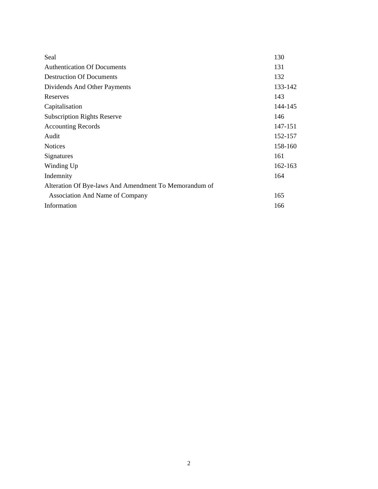| Seal                                                  | 130     |
|-------------------------------------------------------|---------|
| <b>Authentication Of Documents</b>                    | 131     |
| <b>Destruction Of Documents</b>                       | 132     |
| Dividends And Other Payments                          | 133-142 |
| Reserves                                              | 143     |
| Capitalisation                                        | 144-145 |
| <b>Subscription Rights Reserve</b>                    | 146     |
| <b>Accounting Records</b>                             | 147-151 |
| Audit                                                 | 152-157 |
| <b>Notices</b>                                        | 158-160 |
| Signatures                                            | 161     |
| Winding Up                                            | 162-163 |
| Indemnity                                             | 164     |
| Alteration Of Bye-laws And Amendment To Memorandum of |         |
| <b>Association And Name of Company</b>                | 165     |
| Information                                           | 166     |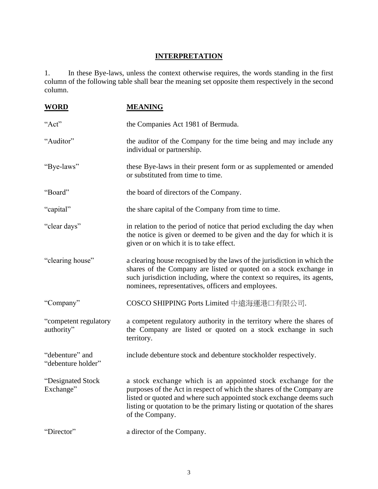## **INTERPRETATION**

1. In these Bye-laws, unless the context otherwise requires, the words standing in the first column of the following table shall bear the meaning set opposite them respectively in the second column.

| <b>WORD</b>                           | <b>MEANING</b>                                                                                                                                                                                                                                                                                                |
|---------------------------------------|---------------------------------------------------------------------------------------------------------------------------------------------------------------------------------------------------------------------------------------------------------------------------------------------------------------|
| "Act"                                 | the Companies Act 1981 of Bermuda.                                                                                                                                                                                                                                                                            |
| "Auditor"                             | the auditor of the Company for the time being and may include any<br>individual or partnership.                                                                                                                                                                                                               |
| "Bye-laws"                            | these Bye-laws in their present form or as supplemented or amended<br>or substituted from time to time.                                                                                                                                                                                                       |
| "Board"                               | the board of directors of the Company.                                                                                                                                                                                                                                                                        |
| "capital"                             | the share capital of the Company from time to time.                                                                                                                                                                                                                                                           |
| "clear days"                          | in relation to the period of notice that period excluding the day when<br>the notice is given or deemed to be given and the day for which it is<br>given or on which it is to take effect.                                                                                                                    |
| "clearing house"                      | a clearing house recognised by the laws of the jurisdiction in which the<br>shares of the Company are listed or quoted on a stock exchange in<br>such jurisdiction including, where the context so requires, its agents,<br>nominees, representatives, officers and employees.                                |
| "Company"                             | COSCO SHIPPING Ports Limited 中遠海運港口有限公司.                                                                                                                                                                                                                                                                      |
| "competent regulatory<br>authority"   | a competent regulatory authority in the territory where the shares of<br>the Company are listed or quoted on a stock exchange in such<br>territory.                                                                                                                                                           |
| "debenture" and<br>"debenture holder" | include debenture stock and debenture stockholder respectively.                                                                                                                                                                                                                                               |
| "Designated Stock<br>Exchange"        | a stock exchange which is an appointed stock exchange for the<br>purposes of the Act in respect of which the shares of the Company are<br>listed or quoted and where such appointed stock exchange deems such<br>listing or quotation to be the primary listing or quotation of the shares<br>of the Company. |
| "Director"                            | a director of the Company.                                                                                                                                                                                                                                                                                    |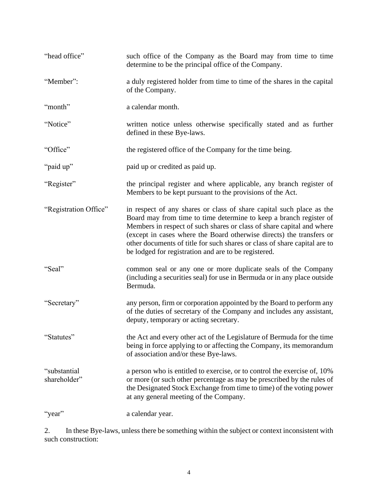| "head office"                | such office of the Company as the Board may from time to time<br>determine to be the principal office of the Company.                                                                                                                                                                                                                                                                                                            |
|------------------------------|----------------------------------------------------------------------------------------------------------------------------------------------------------------------------------------------------------------------------------------------------------------------------------------------------------------------------------------------------------------------------------------------------------------------------------|
| "Member":                    | a duly registered holder from time to time of the shares in the capital<br>of the Company.                                                                                                                                                                                                                                                                                                                                       |
| "month"                      | a calendar month.                                                                                                                                                                                                                                                                                                                                                                                                                |
| "Notice"                     | written notice unless otherwise specifically stated and as further<br>defined in these Bye-laws.                                                                                                                                                                                                                                                                                                                                 |
| "Office"                     | the registered office of the Company for the time being.                                                                                                                                                                                                                                                                                                                                                                         |
| "paid up"                    | paid up or credited as paid up.                                                                                                                                                                                                                                                                                                                                                                                                  |
| "Register"                   | the principal register and where applicable, any branch register of<br>Members to be kept pursuant to the provisions of the Act.                                                                                                                                                                                                                                                                                                 |
| "Registration Office"        | in respect of any shares or class of share capital such place as the<br>Board may from time to time determine to keep a branch register of<br>Members in respect of such shares or class of share capital and where<br>(except in cases where the Board otherwise directs) the transfers or<br>other documents of title for such shares or class of share capital are to<br>be lodged for registration and are to be registered. |
| "Seal"                       | common seal or any one or more duplicate seals of the Company<br>(including a securities seal) for use in Bermuda or in any place outside<br>Bermuda.                                                                                                                                                                                                                                                                            |
| "Secretary"                  | any person, firm or corporation appointed by the Board to perform any<br>of the duties of secretary of the Company and includes any assistant,<br>deputy, temporary or acting secretary.                                                                                                                                                                                                                                         |
| "Statutes"                   | the Act and every other act of the Legislature of Bermuda for the time<br>being in force applying to or affecting the Company, its memorandum<br>of association and/or these Bye-laws.                                                                                                                                                                                                                                           |
| "substantial<br>shareholder" | a person who is entitled to exercise, or to control the exercise of, 10%<br>or more (or such other percentage as may be prescribed by the rules of<br>the Designated Stock Exchange from time to time) of the voting power<br>at any general meeting of the Company.                                                                                                                                                             |
| "year"                       | a calendar year.                                                                                                                                                                                                                                                                                                                                                                                                                 |

2. In these Bye-laws, unless there be something within the subject or context inconsistent with such construction: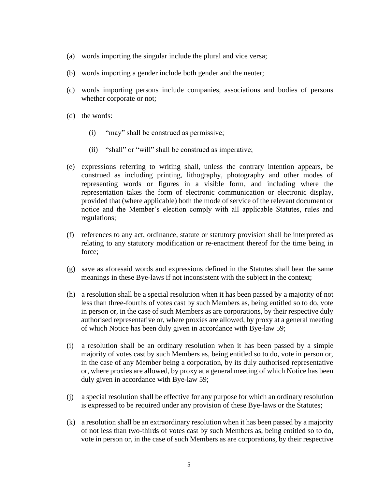- (a) words importing the singular include the plural and vice versa;
- (b) words importing a gender include both gender and the neuter;
- (c) words importing persons include companies, associations and bodies of persons whether corporate or not;
- (d) the words:
	- (i) "may" shall be construed as permissive;
	- (ii) "shall" or "will" shall be construed as imperative;
- (e) expressions referring to writing shall, unless the contrary intention appears, be construed as including printing, lithography, photography and other modes of representing words or figures in a visible form, and including where the representation takes the form of electronic communication or electronic display, provided that (where applicable) both the mode of service of the relevant document or notice and the Member's election comply with all applicable Statutes, rules and regulations;
- (f) references to any act, ordinance, statute or statutory provision shall be interpreted as relating to any statutory modification or re-enactment thereof for the time being in force;
- (g) save as aforesaid words and expressions defined in the Statutes shall bear the same meanings in these Bye-laws if not inconsistent with the subject in the context;
- (h) a resolution shall be a special resolution when it has been passed by a majority of not less than three-fourths of votes cast by such Members as, being entitled so to do, vote in person or, in the case of such Members as are corporations, by their respective duly authorised representative or, where proxies are allowed, by proxy at a general meeting of which Notice has been duly given in accordance with Bye-law 59;
- (i) a resolution shall be an ordinary resolution when it has been passed by a simple majority of votes cast by such Members as, being entitled so to do, vote in person or, in the case of any Member being a corporation, by its duly authorised representative or, where proxies are allowed, by proxy at a general meeting of which Notice has been duly given in accordance with Bye-law 59;
- (j) a special resolution shall be effective for any purpose for which an ordinary resolution is expressed to be required under any provision of these Bye-laws or the Statutes;
- (k) a resolution shall be an extraordinary resolution when it has been passed by a majority of not less than two-thirds of votes cast by such Members as, being entitled so to do, vote in person or, in the case of such Members as are corporations, by their respective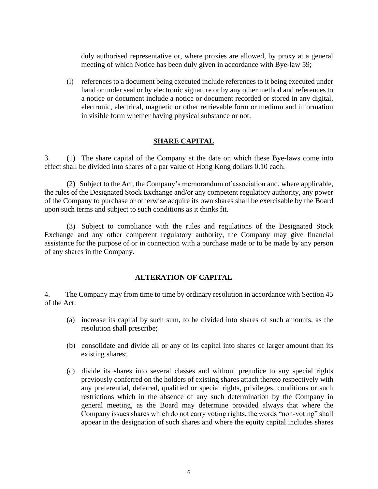duly authorised representative or, where proxies are allowed, by proxy at a general meeting of which Notice has been duly given in accordance with Bye-law 59;

(l) references to a document being executed include references to it being executed under hand or under seal or by electronic signature or by any other method and references to a notice or document include a notice or document recorded or stored in any digital, electronic, electrical, magnetic or other retrievable form or medium and information in visible form whether having physical substance or not.

#### **SHARE CAPITAL**

3. (1) The share capital of the Company at the date on which these Bye-laws come into effect shall be divided into shares of a par value of Hong Kong dollars 0.10 each.

(2) Subject to the Act, the Company's memorandum of association and, where applicable, the rules of the Designated Stock Exchange and/or any competent regulatory authority, any power of the Company to purchase or otherwise acquire its own shares shall be exercisable by the Board upon such terms and subject to such conditions as it thinks fit.

(3) Subject to compliance with the rules and regulations of the Designated Stock Exchange and any other competent regulatory authority, the Company may give financial assistance for the purpose of or in connection with a purchase made or to be made by any person of any shares in the Company.

#### **ALTERATION OF CAPITAL**

4. The Company may from time to time by ordinary resolution in accordance with Section 45 of the Act:

- (a) increase its capital by such sum, to be divided into shares of such amounts, as the resolution shall prescribe;
- (b) consolidate and divide all or any of its capital into shares of larger amount than its existing shares;
- (c) divide its shares into several classes and without prejudice to any special rights previously conferred on the holders of existing shares attach thereto respectively with any preferential, deferred, qualified or special rights, privileges, conditions or such restrictions which in the absence of any such determination by the Company in general meeting, as the Board may determine provided always that where the Company issues shares which do not carry voting rights, the words "non-voting" shall appear in the designation of such shares and where the equity capital includes shares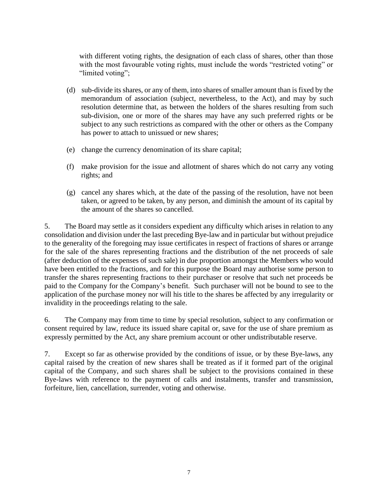with different voting rights, the designation of each class of shares, other than those with the most favourable voting rights, must include the words "restricted voting" or "limited voting";

- (d) sub-divide its shares, or any of them, into shares of smaller amount than is fixed by the memorandum of association (subject, nevertheless, to the Act), and may by such resolution determine that, as between the holders of the shares resulting from such sub-division, one or more of the shares may have any such preferred rights or be subject to any such restrictions as compared with the other or others as the Company has power to attach to unissued or new shares;
- (e) change the currency denomination of its share capital;
- (f) make provision for the issue and allotment of shares which do not carry any voting rights; and
- (g) cancel any shares which, at the date of the passing of the resolution, have not been taken, or agreed to be taken, by any person, and diminish the amount of its capital by the amount of the shares so cancelled.

5. The Board may settle as it considers expedient any difficulty which arises in relation to any consolidation and division under the last preceding Bye-law and in particular but without prejudice to the generality of the foregoing may issue certificates in respect of fractions of shares or arrange for the sale of the shares representing fractions and the distribution of the net proceeds of sale (after deduction of the expenses of such sale) in due proportion amongst the Members who would have been entitled to the fractions, and for this purpose the Board may authorise some person to transfer the shares representing fractions to their purchaser or resolve that such net proceeds be paid to the Company for the Company's benefit. Such purchaser will not be bound to see to the application of the purchase money nor will his title to the shares be affected by any irregularity or invalidity in the proceedings relating to the sale.

6. The Company may from time to time by special resolution, subject to any confirmation or consent required by law, reduce its issued share capital or, save for the use of share premium as expressly permitted by the Act, any share premium account or other undistributable reserve.

7. Except so far as otherwise provided by the conditions of issue, or by these Bye-laws, any capital raised by the creation of new shares shall be treated as if it formed part of the original capital of the Company, and such shares shall be subject to the provisions contained in these Bye-laws with reference to the payment of calls and instalments, transfer and transmission, forfeiture, lien, cancellation, surrender, voting and otherwise.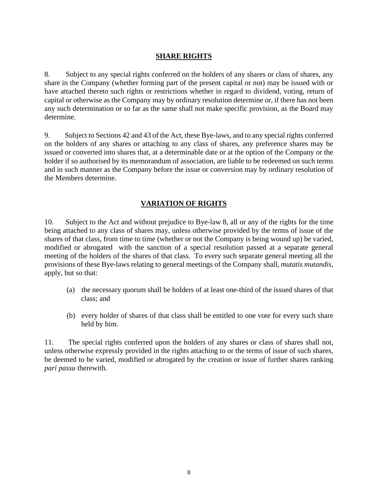#### **SHARE RIGHTS**

8. Subject to any special rights conferred on the holders of any shares or class of shares, any share in the Company (whether forming part of the present capital or not) may be issued with or have attached thereto such rights or restrictions whether in regard to dividend, voting, return of capital or otherwise as the Company may by ordinary resolution determine or, if there has not been any such determination or so far as the same shall not make specific provision, as the Board may determine.

9. Subject to Sections 42 and 43 of the Act, these Bye-laws, and to any special rights conferred on the holders of any shares or attaching to any class of shares, any preference shares may be issued or converted into shares that, at a determinable date or at the option of the Company or the holder if so authorised by its memorandum of association, are liable to be redeemed on such terms and in such manner as the Company before the issue or conversion may by ordinary resolution of the Members determine.

#### **VARIATION OF RIGHTS**

10. Subject to the Act and without prejudice to Bye-law 8, all or any of the rights for the time being attached to any class of shares may, unless otherwise provided by the terms of issue of the shares of that class, from time to time (whether or not the Company is being wound up) be varied, modified or abrogated with the sanction of a special resolution passed at a separate general meeting of the holders of the shares of that class. To every such separate general meeting all the provisions of these Bye-laws relating to general meetings of the Company shall, *mutatis mutandis*, apply, but so that:

- (a) the necessary quorum shall be holders of at least one-third of the issued shares of that class; and
- (b) every holder of shares of that class shall be entitled to one vote for every such share held by him.

11. The special rights conferred upon the holders of any shares or class of shares shall not, unless otherwise expressly provided in the rights attaching to or the terms of issue of such shares, be deemed to be varied, modified or abrogated by the creation or issue of further shares ranking *pari passu* therewith.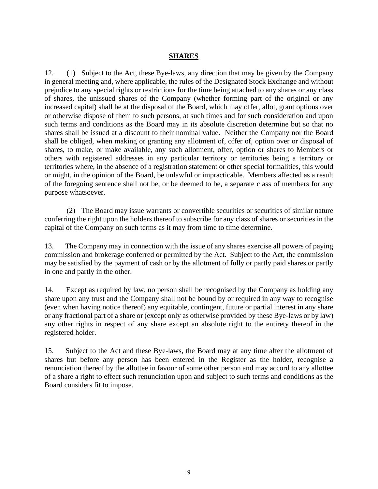#### **SHARES**

12. (1) Subject to the Act, these Bye-laws, any direction that may be given by the Company in general meeting and, where applicable, the rules of the Designated Stock Exchange and without prejudice to any special rights or restrictions for the time being attached to any shares or any class of shares, the unissued shares of the Company (whether forming part of the original or any increased capital) shall be at the disposal of the Board, which may offer, allot, grant options over or otherwise dispose of them to such persons, at such times and for such consideration and upon such terms and conditions as the Board may in its absolute discretion determine but so that no shares shall be issued at a discount to their nominal value. Neither the Company nor the Board shall be obliged, when making or granting any allotment of, offer of, option over or disposal of shares, to make, or make available, any such allotment, offer, option or shares to Members or others with registered addresses in any particular territory or territories being a territory or territories where, in the absence of a registration statement or other special formalities, this would or might, in the opinion of the Board, be unlawful or impracticable. Members affected as a result of the foregoing sentence shall not be, or be deemed to be, a separate class of members for any purpose whatsoever.

(2) The Board may issue warrants or convertible securities or securities of similar nature conferring the right upon the holders thereof to subscribe for any class of shares or securities in the capital of the Company on such terms as it may from time to time determine.

13. The Company may in connection with the issue of any shares exercise all powers of paying commission and brokerage conferred or permitted by the Act. Subject to the Act, the commission may be satisfied by the payment of cash or by the allotment of fully or partly paid shares or partly in one and partly in the other.

14. Except as required by law, no person shall be recognised by the Company as holding any share upon any trust and the Company shall not be bound by or required in any way to recognise (even when having notice thereof) any equitable, contingent, future or partial interest in any share or any fractional part of a share or (except only as otherwise provided by these Bye-laws or by law) any other rights in respect of any share except an absolute right to the entirety thereof in the registered holder.

15. Subject to the Act and these Bye-laws, the Board may at any time after the allotment of shares but before any person has been entered in the Register as the holder, recognise a renunciation thereof by the allottee in favour of some other person and may accord to any allottee of a share a right to effect such renunciation upon and subject to such terms and conditions as the Board considers fit to impose.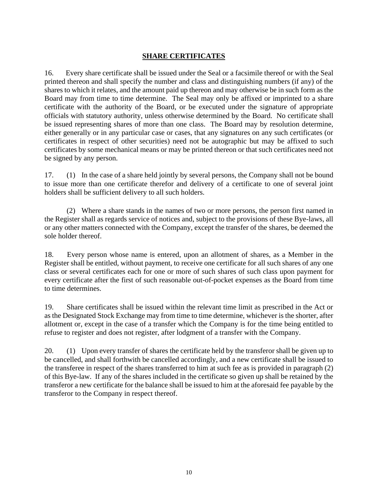#### **SHARE CERTIFICATES**

16. Every share certificate shall be issued under the Seal or a facsimile thereof or with the Seal printed thereon and shall specify the number and class and distinguishing numbers (if any) of the shares to which it relates, and the amount paid up thereon and may otherwise be in such form as the Board may from time to time determine. The Seal may only be affixed or imprinted to a share certificate with the authority of the Board, or be executed under the signature of appropriate officials with statutory authority, unless otherwise determined by the Board. No certificate shall be issued representing shares of more than one class. The Board may by resolution determine, either generally or in any particular case or cases, that any signatures on any such certificates (or certificates in respect of other securities) need not be autographic but may be affixed to such certificates by some mechanical means or may be printed thereon or that such certificates need not be signed by any person.

17. (1) In the case of a share held jointly by several persons, the Company shall not be bound to issue more than one certificate therefor and delivery of a certificate to one of several joint holders shall be sufficient delivery to all such holders.

(2) Where a share stands in the names of two or more persons, the person first named in the Register shall as regards service of notices and, subject to the provisions of these Bye-laws, all or any other matters connected with the Company, except the transfer of the shares, be deemed the sole holder thereof.

18. Every person whose name is entered, upon an allotment of shares, as a Member in the Register shall be entitled, without payment, to receive one certificate for all such shares of any one class or several certificates each for one or more of such shares of such class upon payment for every certificate after the first of such reasonable out-of-pocket expenses as the Board from time to time determines.

19. Share certificates shall be issued within the relevant time limit as prescribed in the Act or as the Designated Stock Exchange may from time to time determine, whichever is the shorter, after allotment or, except in the case of a transfer which the Company is for the time being entitled to refuse to register and does not register, after lodgment of a transfer with the Company.

20. (1) Upon every transfer of shares the certificate held by the transferor shall be given up to be cancelled, and shall forthwith be cancelled accordingly, and a new certificate shall be issued to the transferee in respect of the shares transferred to him at such fee as is provided in paragraph (2) of this Bye-law. If any of the shares included in the certificate so given up shall be retained by the transferor a new certificate for the balance shall be issued to him at the aforesaid fee payable by the transferor to the Company in respect thereof.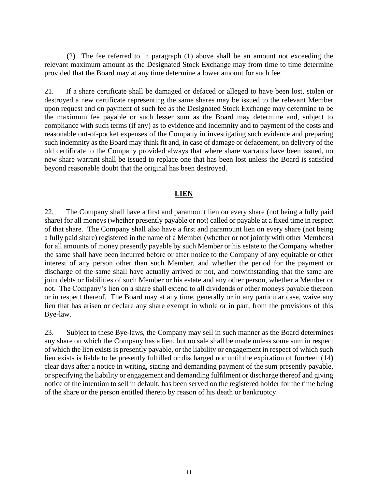(2) The fee referred to in paragraph (1) above shall be an amount not exceeding the relevant maximum amount as the Designated Stock Exchange may from time to time determine provided that the Board may at any time determine a lower amount for such fee.

21. If a share certificate shall be damaged or defaced or alleged to have been lost, stolen or destroyed a new certificate representing the same shares may be issued to the relevant Member upon request and on payment of such fee as the Designated Stock Exchange may determine to be the maximum fee payable or such lesser sum as the Board may determine and, subject to compliance with such terms (if any) as to evidence and indemnity and to payment of the costs and reasonable out-of-pocket expenses of the Company in investigating such evidence and preparing such indemnity as the Board may think fit and, in case of damage or defacement, on delivery of the old certificate to the Company provided always that where share warrants have been issued, no new share warrant shall be issued to replace one that has been lost unless the Board is satisfied beyond reasonable doubt that the original has been destroyed.

#### **LIEN**

22. The Company shall have a first and paramount lien on every share (not being a fully paid share) for all moneys (whether presently payable or not) called or payable at a fixed time in respect of that share. The Company shall also have a first and paramount lien on every share (not being a fully paid share) registered in the name of a Member (whether or not jointly with other Members) for all amounts of money presently payable by such Member or his estate to the Company whether the same shall have been incurred before or after notice to the Company of any equitable or other interest of any person other than such Member, and whether the period for the payment or discharge of the same shall have actually arrived or not, and notwithstanding that the same are joint debts or liabilities of such Member or his estate and any other person, whether a Member or not. The Company's lien on a share shall extend to all dividends or other moneys payable thereon or in respect thereof. The Board may at any time, generally or in any particular case, waive any lien that has arisen or declare any share exempt in whole or in part, from the provisions of this Bye-law.

23. Subject to these Bye-laws, the Company may sell in such manner as the Board determines any share on which the Company has a lien, but no sale shall be made unless some sum in respect of which the lien exists is presently payable, or the liability or engagement in respect of which such lien exists is liable to be presently fulfilled or discharged nor until the expiration of fourteen (14) clear days after a notice in writing, stating and demanding payment of the sum presently payable, or specifying the liability or engagement and demanding fulfilment or discharge thereof and giving notice of the intention to sell in default, has been served on the registered holder for the time being of the share or the person entitled thereto by reason of his death or bankruptcy.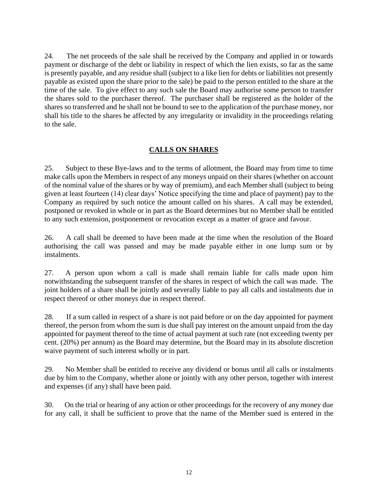24. The net proceeds of the sale shall be received by the Company and applied in or towards payment or discharge of the debt or liability in respect of which the lien exists, so far as the same is presently payable, and any residue shall (subject to a like lien for debts or liabilities not presently payable as existed upon the share prior to the sale) be paid to the person entitled to the share at the time of the sale. To give effect to any such sale the Board may authorise some person to transfer the shares sold to the purchaser thereof. The purchaser shall be registered as the holder of the shares so transferred and he shall not be bound to see to the application of the purchase money, nor shall his title to the shares be affected by any irregularity or invalidity in the proceedings relating to the sale.

#### **CALLS ON SHARES**

25. Subject to these Bye-laws and to the terms of allotment, the Board may from time to time make calls upon the Members in respect of any moneys unpaid on their shares (whether on account of the nominal value of the shares or by way of premium), and each Member shall (subject to being given at least fourteen (14) clear days' Notice specifying the time and place of payment) pay to the Company as required by such notice the amount called on his shares. A call may be extended, postponed or revoked in whole or in part as the Board determines but no Member shall be entitled to any such extension, postponement or revocation except as a matter of grace and favour.

26. A call shall be deemed to have been made at the time when the resolution of the Board authorising the call was passed and may be made payable either in one lump sum or by instalments.

27. A person upon whom a call is made shall remain liable for calls made upon him notwithstanding the subsequent transfer of the shares in respect of which the call was made. The joint holders of a share shall be jointly and severally liable to pay all calls and instalments due in respect thereof or other moneys due in respect thereof.

28. If a sum called in respect of a share is not paid before or on the day appointed for payment thereof, the person from whom the sum is due shall pay interest on the amount unpaid from the day appointed for payment thereof to the time of actual payment at such rate (not exceeding twenty per cent. (20%) per annum) as the Board may determine, but the Board may in its absolute discretion waive payment of such interest wholly or in part.

29. No Member shall be entitled to receive any dividend or bonus until all calls or instalments due by him to the Company, whether alone or jointly with any other person, together with interest and expenses (if any) shall have been paid.

30. On the trial or hearing of any action or other proceedings for the recovery of any money due for any call, it shall be sufficient to prove that the name of the Member sued is entered in the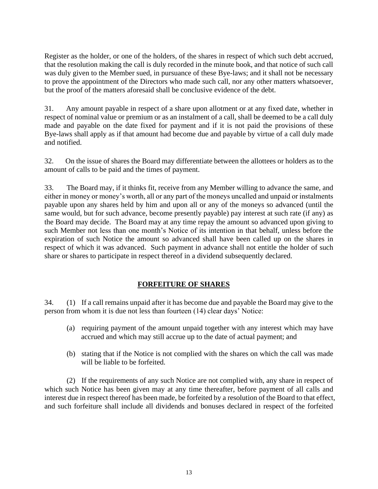Register as the holder, or one of the holders, of the shares in respect of which such debt accrued, that the resolution making the call is duly recorded in the minute book, and that notice of such call was duly given to the Member sued, in pursuance of these Bye-laws; and it shall not be necessary to prove the appointment of the Directors who made such call, nor any other matters whatsoever, but the proof of the matters aforesaid shall be conclusive evidence of the debt.

31. Any amount payable in respect of a share upon allotment or at any fixed date, whether in respect of nominal value or premium or as an instalment of a call, shall be deemed to be a call duly made and payable on the date fixed for payment and if it is not paid the provisions of these Bye-laws shall apply as if that amount had become due and payable by virtue of a call duly made and notified.

32. On the issue of shares the Board may differentiate between the allottees or holders as to the amount of calls to be paid and the times of payment.

33. The Board may, if it thinks fit, receive from any Member willing to advance the same, and either in money or money's worth, all or any part of the moneys uncalled and unpaid or instalments payable upon any shares held by him and upon all or any of the moneys so advanced (until the same would, but for such advance, become presently payable) pay interest at such rate (if any) as the Board may decide. The Board may at any time repay the amount so advanced upon giving to such Member not less than one month's Notice of its intention in that behalf, unless before the expiration of such Notice the amount so advanced shall have been called up on the shares in respect of which it was advanced. Such payment in advance shall not entitle the holder of such share or shares to participate in respect thereof in a dividend subsequently declared.

#### **FORFEITURE OF SHARES**

34. (1) If a call remains unpaid after it has become due and payable the Board may give to the person from whom it is due not less than fourteen (14) clear days' Notice:

- (a) requiring payment of the amount unpaid together with any interest which may have accrued and which may still accrue up to the date of actual payment; and
- (b) stating that if the Notice is not complied with the shares on which the call was made will be liable to be forfeited.

(2) If the requirements of any such Notice are not complied with, any share in respect of which such Notice has been given may at any time thereafter, before payment of all calls and interest due in respect thereof has been made, be forfeited by a resolution of the Board to that effect, and such forfeiture shall include all dividends and bonuses declared in respect of the forfeited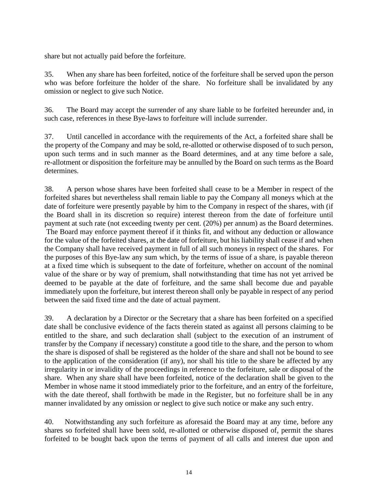share but not actually paid before the forfeiture.

35. When any share has been forfeited, notice of the forfeiture shall be served upon the person who was before forfeiture the holder of the share. No forfeiture shall be invalidated by any omission or neglect to give such Notice.

36. The Board may accept the surrender of any share liable to be forfeited hereunder and, in such case, references in these Bye-laws to forfeiture will include surrender.

37. Until cancelled in accordance with the requirements of the Act, a forfeited share shall be the property of the Company and may be sold, re-allotted or otherwise disposed of to such person, upon such terms and in such manner as the Board determines, and at any time before a sale, re-allotment or disposition the forfeiture may be annulled by the Board on such terms as the Board determines.

38. A person whose shares have been forfeited shall cease to be a Member in respect of the forfeited shares but nevertheless shall remain liable to pay the Company all moneys which at the date of forfeiture were presently payable by him to the Company in respect of the shares, with (if the Board shall in its discretion so require) interest thereon from the date of forfeiture until payment at such rate (not exceeding twenty per cent. (20%) per annum) as the Board determines. The Board may enforce payment thereof if it thinks fit, and without any deduction or allowance for the value of the forfeited shares, at the date of forfeiture, but his liability shall cease if and when the Company shall have received payment in full of all such moneys in respect of the shares. For the purposes of this Bye-law any sum which, by the terms of issue of a share, is payable thereon at a fixed time which is subsequent to the date of forfeiture, whether on account of the nominal value of the share or by way of premium, shall notwithstanding that time has not yet arrived be deemed to be payable at the date of forfeiture, and the same shall become due and payable immediately upon the forfeiture, but interest thereon shall only be payable in respect of any period between the said fixed time and the date of actual payment.

39. A declaration by a Director or the Secretary that a share has been forfeited on a specified date shall be conclusive evidence of the facts therein stated as against all persons claiming to be entitled to the share, and such declaration shall (subject to the execution of an instrument of transfer by the Company if necessary) constitute a good title to the share, and the person to whom the share is disposed of shall be registered as the holder of the share and shall not be bound to see to the application of the consideration (if any), nor shall his title to the share be affected by any irregularity in or invalidity of the proceedings in reference to the forfeiture, sale or disposal of the share. When any share shall have been forfeited, notice of the declaration shall be given to the Member in whose name it stood immediately prior to the forfeiture, and an entry of the forfeiture, with the date thereof, shall forthwith be made in the Register, but no forfeiture shall be in any manner invalidated by any omission or neglect to give such notice or make any such entry.

40. Notwithstanding any such forfeiture as aforesaid the Board may at any time, before any shares so forfeited shall have been sold, re-allotted or otherwise disposed of, permit the shares forfeited to be bought back upon the terms of payment of all calls and interest due upon and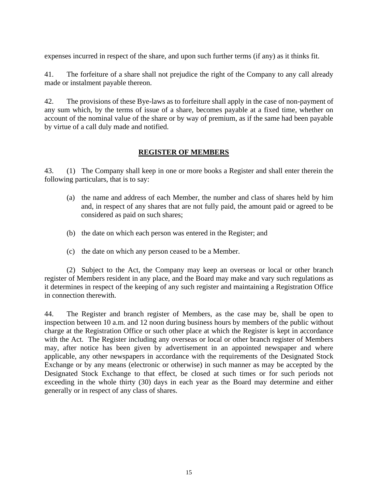expenses incurred in respect of the share, and upon such further terms (if any) as it thinks fit.

41. The forfeiture of a share shall not prejudice the right of the Company to any call already made or instalment payable thereon.

42. The provisions of these Bye-laws as to forfeiture shall apply in the case of non-payment of any sum which, by the terms of issue of a share, becomes payable at a fixed time, whether on account of the nominal value of the share or by way of premium, as if the same had been payable by virtue of a call duly made and notified.

#### **REGISTER OF MEMBERS**

43. (1) The Company shall keep in one or more books a Register and shall enter therein the following particulars, that is to say:

- (a) the name and address of each Member, the number and class of shares held by him and, in respect of any shares that are not fully paid, the amount paid or agreed to be considered as paid on such shares;
- (b) the date on which each person was entered in the Register; and
- (c) the date on which any person ceased to be a Member.

(2) Subject to the Act, the Company may keep an overseas or local or other branch register of Members resident in any place, and the Board may make and vary such regulations as it determines in respect of the keeping of any such register and maintaining a Registration Office in connection therewith.

44. The Register and branch register of Members, as the case may be, shall be open to inspection between 10 a.m. and 12 noon during business hours by members of the public without charge at the Registration Office or such other place at which the Register is kept in accordance with the Act. The Register including any overseas or local or other branch register of Members may, after notice has been given by advertisement in an appointed newspaper and where applicable, any other newspapers in accordance with the requirements of the Designated Stock Exchange or by any means (electronic or otherwise) in such manner as may be accepted by the Designated Stock Exchange to that effect, be closed at such times or for such periods not exceeding in the whole thirty (30) days in each year as the Board may determine and either generally or in respect of any class of shares.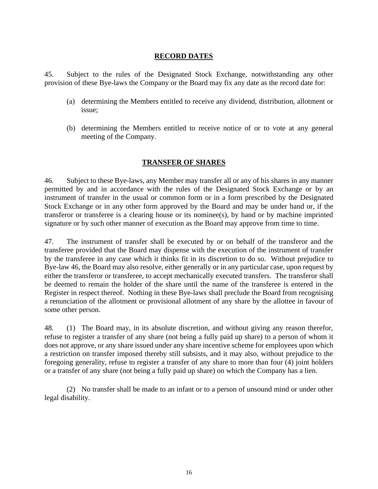#### **RECORD DATES**

45. Subject to the rules of the Designated Stock Exchange, notwithstanding any other provision of these Bye-laws the Company or the Board may fix any date as the record date for:

- (a) determining the Members entitled to receive any dividend, distribution, allotment or issue;
- (b) determining the Members entitled to receive notice of or to vote at any general meeting of the Company.

#### **TRANSFER OF SHARES**

46. Subject to these Bye-laws, any Member may transfer all or any of his shares in any manner permitted by and in accordance with the rules of the Designated Stock Exchange or by an instrument of transfer in the usual or common form or in a form prescribed by the Designated Stock Exchange or in any other form approved by the Board and may be under hand or, if the transferor or transferee is a clearing house or its nominee(s), by hand or by machine imprinted signature or by such other manner of execution as the Board may approve from time to time.

47. The instrument of transfer shall be executed by or on behalf of the transferor and the transferee provided that the Board may dispense with the execution of the instrument of transfer by the transferee in any case which it thinks fit in its discretion to do so. Without prejudice to Bye-law 46, the Board may also resolve, either generally or in any particular case, upon request by either the transferor or transferee, to accept mechanically executed transfers. The transferor shall be deemed to remain the holder of the share until the name of the transferee is entered in the Register in respect thereof. Nothing in these Bye-laws shall preclude the Board from recognising a renunciation of the allotment or provisional allotment of any share by the allottee in favour of some other person.

48. (1) The Board may, in its absolute discretion, and without giving any reason therefor, refuse to register a transfer of any share (not being a fully paid up share) to a person of whom it does not approve, or any share issued under any share incentive scheme for employees upon which a restriction on transfer imposed thereby still subsists, and it may also, without prejudice to the foregoing generality, refuse to register a transfer of any share to more than four (4) joint holders or a transfer of any share (not being a fully paid up share) on which the Company has a lien.

(2) No transfer shall be made to an infant or to a person of unsound mind or under other legal disability.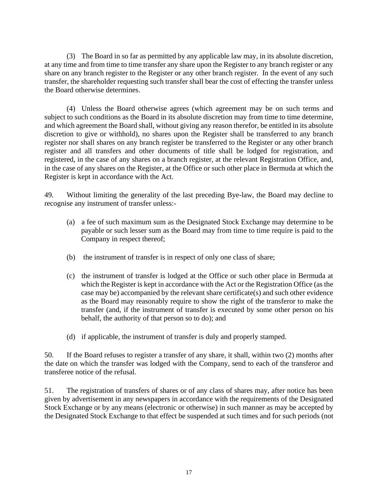(3) The Board in so far as permitted by any applicable law may, in its absolute discretion, at any time and from time to time transfer any share upon the Register to any branch register or any share on any branch register to the Register or any other branch register. In the event of any such transfer, the shareholder requesting such transfer shall bear the cost of effecting the transfer unless the Board otherwise determines.

(4) Unless the Board otherwise agrees (which agreement may be on such terms and subject to such conditions as the Board in its absolute discretion may from time to time determine, and which agreement the Board shall, without giving any reason therefor, be entitled in its absolute discretion to give or withhold), no shares upon the Register shall be transferred to any branch register nor shall shares on any branch register be transferred to the Register or any other branch register and all transfers and other documents of title shall be lodged for registration, and registered, in the case of any shares on a branch register, at the relevant Registration Office, and, in the case of any shares on the Register, at the Office or such other place in Bermuda at which the Register is kept in accordance with the Act.

49. Without limiting the generality of the last preceding Bye-law, the Board may decline to recognise any instrument of transfer unless:-

- (a) a fee of such maximum sum as the Designated Stock Exchange may determine to be payable or such lesser sum as the Board may from time to time require is paid to the Company in respect thereof;
- (b) the instrument of transfer is in respect of only one class of share;
- (c) the instrument of transfer is lodged at the Office or such other place in Bermuda at which the Register is kept in accordance with the Act or the Registration Office (as the case may be) accompanied by the relevant share certificate(s) and such other evidence as the Board may reasonably require to show the right of the transferor to make the transfer (and, if the instrument of transfer is executed by some other person on his behalf, the authority of that person so to do); and
- (d) if applicable, the instrument of transfer is duly and properly stamped.

50. If the Board refuses to register a transfer of any share, it shall, within two (2) months after the date on which the transfer was lodged with the Company, send to each of the transferor and transferee notice of the refusal.

51. The registration of transfers of shares or of any class of shares may, after notice has been given by advertisement in any newspapers in accordance with the requirements of the Designated Stock Exchange or by any means (electronic or otherwise) in such manner as may be accepted by the Designated Stock Exchange to that effect be suspended at such times and for such periods (not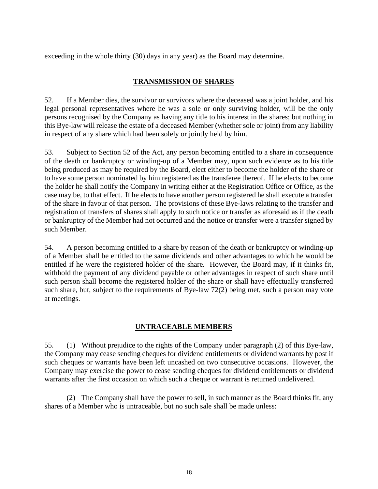exceeding in the whole thirty (30) days in any year) as the Board may determine.

## **TRANSMISSION OF SHARES**

52. If a Member dies, the survivor or survivors where the deceased was a joint holder, and his legal personal representatives where he was a sole or only surviving holder, will be the only persons recognised by the Company as having any title to his interest in the shares; but nothing in this Bye-law will release the estate of a deceased Member (whether sole or joint) from any liability in respect of any share which had been solely or jointly held by him.

53. Subject to Section 52 of the Act, any person becoming entitled to a share in consequence of the death or bankruptcy or winding-up of a Member may, upon such evidence as to his title being produced as may be required by the Board, elect either to become the holder of the share or to have some person nominated by him registered as the transferee thereof. If he elects to become the holder he shall notify the Company in writing either at the Registration Office or Office, as the case may be, to that effect. If he elects to have another person registered he shall execute a transfer of the share in favour of that person. The provisions of these Bye-laws relating to the transfer and registration of transfers of shares shall apply to such notice or transfer as aforesaid as if the death or bankruptcy of the Member had not occurred and the notice or transfer were a transfer signed by such Member.

54. A person becoming entitled to a share by reason of the death or bankruptcy or winding-up of a Member shall be entitled to the same dividends and other advantages to which he would be entitled if he were the registered holder of the share. However, the Board may, if it thinks fit, withhold the payment of any dividend payable or other advantages in respect of such share until such person shall become the registered holder of the share or shall have effectually transferred such share, but, subject to the requirements of Bye-law 72(2) being met, such a person may vote at meetings.

## **UNTRACEABLE MEMBERS**

55. (1) Without prejudice to the rights of the Company under paragraph (2) of this Bye-law, the Company may cease sending cheques for dividend entitlements or dividend warrants by post if such cheques or warrants have been left uncashed on two consecutive occasions. However, the Company may exercise the power to cease sending cheques for dividend entitlements or dividend warrants after the first occasion on which such a cheque or warrant is returned undelivered.

(2) The Company shall have the power to sell, in such manner as the Board thinks fit, any shares of a Member who is untraceable, but no such sale shall be made unless: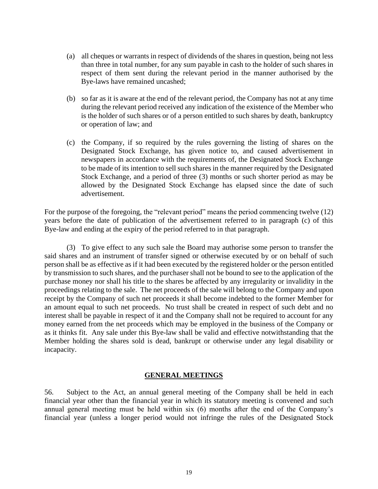- (a) all cheques or warrants in respect of dividends of the shares in question, being not less than three in total number, for any sum payable in cash to the holder of such shares in respect of them sent during the relevant period in the manner authorised by the Bye-laws have remained uncashed;
- (b) so far as it is aware at the end of the relevant period, the Company has not at any time during the relevant period received any indication of the existence of the Member who is the holder of such shares or of a person entitled to such shares by death, bankruptcy or operation of law; and
- (c) the Company, if so required by the rules governing the listing of shares on the Designated Stock Exchange, has given notice to, and caused advertisement in newspapers in accordance with the requirements of, the Designated Stock Exchange to be made of its intention to sell such shares in the manner required by the Designated Stock Exchange, and a period of three (3) months or such shorter period as may be allowed by the Designated Stock Exchange has elapsed since the date of such advertisement.

For the purpose of the foregoing, the "relevant period" means the period commencing twelve (12) years before the date of publication of the advertisement referred to in paragraph (c) of this Bye-law and ending at the expiry of the period referred to in that paragraph.

(3) To give effect to any such sale the Board may authorise some person to transfer the said shares and an instrument of transfer signed or otherwise executed by or on behalf of such person shall be as effective as if it had been executed by the registered holder or the person entitled by transmission to such shares, and the purchaser shall not be bound to see to the application of the purchase money nor shall his title to the shares be affected by any irregularity or invalidity in the proceedings relating to the sale. The net proceeds of the sale will belong to the Company and upon receipt by the Company of such net proceeds it shall become indebted to the former Member for an amount equal to such net proceeds. No trust shall be created in respect of such debt and no interest shall be payable in respect of it and the Company shall not be required to account for any money earned from the net proceeds which may be employed in the business of the Company or as it thinks fit. Any sale under this Bye-law shall be valid and effective notwithstanding that the Member holding the shares sold is dead, bankrupt or otherwise under any legal disability or incapacity.

#### **GENERAL MEETINGS**

56. Subject to the Act, an annual general meeting of the Company shall be held in each financial year other than the financial year in which its statutory meeting is convened and such annual general meeting must be held within six (6) months after the end of the Company's financial year (unless a longer period would not infringe the rules of the Designated Stock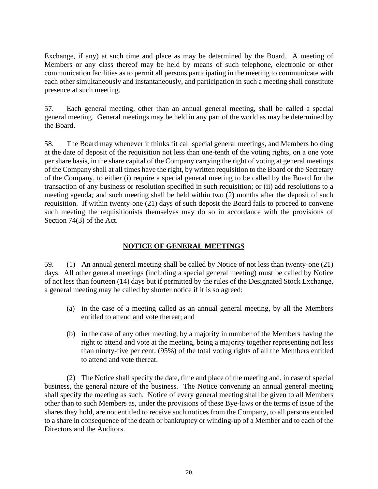Exchange, if any) at such time and place as may be determined by the Board. A meeting of Members or any class thereof may be held by means of such telephone, electronic or other communication facilities as to permit all persons participating in the meeting to communicate with each other simultaneously and instantaneously, and participation in such a meeting shall constitute presence at such meeting.

57. Each general meeting, other than an annual general meeting, shall be called a special general meeting. General meetings may be held in any part of the world as may be determined by the Board.

58. The Board may whenever it thinks fit call special general meetings, and Members holding at the date of deposit of the requisition not less than one-tenth of the voting rights, on a one vote per share basis, in the share capital of the Company carrying the right of voting at general meetings of the Company shall at all times have the right, by written requisition to the Board or the Secretary of the Company, to either (i) require a special general meeting to be called by the Board for the transaction of any business or resolution specified in such requisition; or (ii) add resolutions to a meeting agenda*;* and such meeting shall be held within two (2) months after the deposit of such requisition. If within twenty-one (21) days of such deposit the Board fails to proceed to convene such meeting the requisitionists themselves may do so in accordance with the provisions of Section 74(3) of the Act.

# **NOTICE OF GENERAL MEETINGS**

59. (1) An annual general meeting shall be called by Notice of not less than twenty-one (21) days. All other general meetings (including a special general meeting) must be called by Notice of not less than fourteen (14) days but if permitted by the rules of the Designated Stock Exchange, a general meeting may be called by shorter notice if it is so agreed:

- (a) in the case of a meeting called as an annual general meeting, by all the Members entitled to attend and vote thereat; and
- (b) in the case of any other meeting, by a majority in number of the Members having the right to attend and vote at the meeting, being a majority together representing not less than ninety-five per cent. (95%) of the total voting rights of all the Members entitled to attend and vote thereat.

(2) The Notice shall specify the date, time and place of the meeting and, in case of special business, the general nature of the business. The Notice convening an annual general meeting shall specify the meeting as such. Notice of every general meeting shall be given to all Members other than to such Members as, under the provisions of these Bye-laws or the terms of issue of the shares they hold, are not entitled to receive such notices from the Company, to all persons entitled to a share in consequence of the death or bankruptcy or winding-up of a Member and to each of the Directors and the Auditors.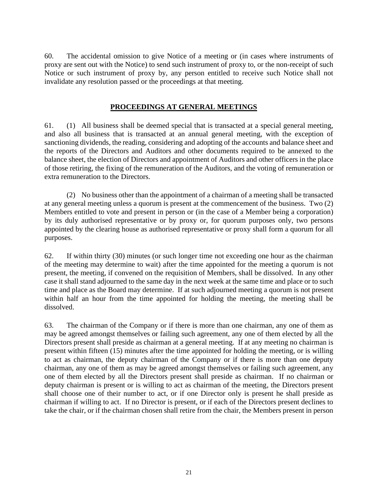60. The accidental omission to give Notice of a meeting or (in cases where instruments of proxy are sent out with the Notice) to send such instrument of proxy to, or the non-receipt of such Notice or such instrument of proxy by, any person entitled to receive such Notice shall not invalidate any resolution passed or the proceedings at that meeting.

### **PROCEEDINGS AT GENERAL MEETINGS**

61. (1) All business shall be deemed special that is transacted at a special general meeting, and also all business that is transacted at an annual general meeting, with the exception of sanctioning dividends, the reading, considering and adopting of the accounts and balance sheet and the reports of the Directors and Auditors and other documents required to be annexed to the balance sheet, the election of Directors and appointment of Auditors and other officers in the place of those retiring, the fixing of the remuneration of the Auditors, and the voting of remuneration or extra remuneration to the Directors.

(2) No business other than the appointment of a chairman of a meeting shall be transacted at any general meeting unless a quorum is present at the commencement of the business. Two (2) Members entitled to vote and present in person or (in the case of a Member being a corporation) by its duly authorised representative or by proxy or, for quorum purposes only, two persons appointed by the clearing house as authorised representative or proxy shall form a quorum for all purposes.

62. If within thirty (30) minutes (or such longer time not exceeding one hour as the chairman of the meeting may determine to wait) after the time appointed for the meeting a quorum is not present, the meeting, if convened on the requisition of Members, shall be dissolved. In any other case it shall stand adjourned to the same day in the next week at the same time and place or to such time and place as the Board may determine. If at such adjourned meeting a quorum is not present within half an hour from the time appointed for holding the meeting, the meeting shall be dissolved.

63. The chairman of the Company or if there is more than one chairman, any one of them as may be agreed amongst themselves or failing such agreement, any one of them elected by all the Directors present shall preside as chairman at a general meeting. If at any meeting no chairman is present within fifteen (15) minutes after the time appointed for holding the meeting, or is willing to act as chairman, the deputy chairman of the Company or if there is more than one deputy chairman, any one of them as may be agreed amongst themselves or failing such agreement, any one of them elected by all the Directors present shall preside as chairman. If no chairman or deputy chairman is present or is willing to act as chairman of the meeting, the Directors present shall choose one of their number to act, or if one Director only is present he shall preside as chairman if willing to act. If no Director is present, or if each of the Directors present declines to take the chair, or if the chairman chosen shall retire from the chair, the Members present in person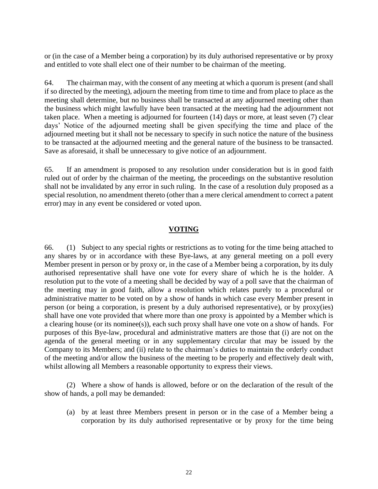or (in the case of a Member being a corporation) by its duly authorised representative or by proxy and entitled to vote shall elect one of their number to be chairman of the meeting.

64. The chairman may, with the consent of any meeting at which a quorum is present (and shall if so directed by the meeting), adjourn the meeting from time to time and from place to place as the meeting shall determine, but no business shall be transacted at any adjourned meeting other than the business which might lawfully have been transacted at the meeting had the adjournment not taken place. When a meeting is adjourned for fourteen (14) days or more, at least seven (7) clear days' Notice of the adjourned meeting shall be given specifying the time and place of the adjourned meeting but it shall not be necessary to specify in such notice the nature of the business to be transacted at the adjourned meeting and the general nature of the business to be transacted. Save as aforesaid, it shall be unnecessary to give notice of an adjournment.

65. If an amendment is proposed to any resolution under consideration but is in good faith ruled out of order by the chairman of the meeting, the proceedings on the substantive resolution shall not be invalidated by any error in such ruling. In the case of a resolution duly proposed as a special resolution, no amendment thereto (other than a mere clerical amendment to correct a patent error) may in any event be considered or voted upon.

## **VOTING**

66. (1) Subject to any special rights or restrictions as to voting for the time being attached to any shares by or in accordance with these Bye-laws, at any general meeting on a poll every Member present in person or by proxy or, in the case of a Member being a corporation, by its duly authorised representative shall have one vote for every share of which he is the holder. A resolution put to the vote of a meeting shall be decided by way of a poll save that the chairman of the meeting may in good faith, allow a resolution which relates purely to a procedural or administrative matter to be voted on by a show of hands in which case every Member present in person (or being a corporation, is present by a duly authorised representative), or by proxy(ies) shall have one vote provided that where more than one proxy is appointed by a Member which is a clearing house (or its nominee(s)), each such proxy shall have one vote on a show of hands. For purposes of this Bye-law, procedural and administrative matters are those that (i) are not on the agenda of the general meeting or in any supplementary circular that may be issued by the Company to its Members; and (ii) relate to the chairman's duties to maintain the orderly conduct of the meeting and/or allow the business of the meeting to be properly and effectively dealt with, whilst allowing all Members a reasonable opportunity to express their views.

(2) Where a show of hands is allowed, before or on the declaration of the result of the show of hands, a poll may be demanded:

(a) by at least three Members present in person or in the case of a Member being a corporation by its duly authorised representative or by proxy for the time being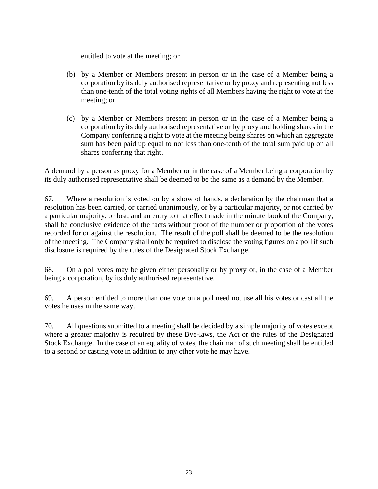entitled to vote at the meeting; or

- (b) by a Member or Members present in person or in the case of a Member being a corporation by its duly authorised representative or by proxy and representing not less than one-tenth of the total voting rights of all Members having the right to vote at the meeting; or
- (c) by a Member or Members present in person or in the case of a Member being a corporation by its duly authorised representative or by proxy and holding shares in the Company conferring a right to vote at the meeting being shares on which an aggregate sum has been paid up equal to not less than one-tenth of the total sum paid up on all shares conferring that right.

A demand by a person as proxy for a Member or in the case of a Member being a corporation by its duly authorised representative shall be deemed to be the same as a demand by the Member.

67. Where a resolution is voted on by a show of hands, a declaration by the chairman that a resolution has been carried, or carried unanimously, or by a particular majority, or not carried by a particular majority, or lost, and an entry to that effect made in the minute book of the Company, shall be conclusive evidence of the facts without proof of the number or proportion of the votes recorded for or against the resolution. The result of the poll shall be deemed to be the resolution of the meeting. The Company shall only be required to disclose the voting figures on a poll if such disclosure is required by the rules of the Designated Stock Exchange.

68. On a poll votes may be given either personally or by proxy or, in the case of a Member being a corporation, by its duly authorised representative.

69. A person entitled to more than one vote on a poll need not use all his votes or cast all the votes he uses in the same way.

70. All questions submitted to a meeting shall be decided by a simple majority of votes except where a greater majority is required by these Bye-laws, the Act or the rules of the Designated Stock Exchange. In the case of an equality of votes, the chairman of such meeting shall be entitled to a second or casting vote in addition to any other vote he may have.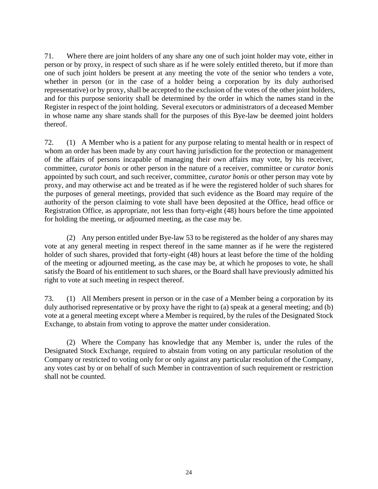71. Where there are joint holders of any share any one of such joint holder may vote, either in person or by proxy, in respect of such share as if he were solely entitled thereto, but if more than one of such joint holders be present at any meeting the vote of the senior who tenders a vote, whether in person (or in the case of a holder being a corporation by its duly authorised representative) or by proxy, shall be accepted to the exclusion of the votes of the other joint holders, and for this purpose seniority shall be determined by the order in which the names stand in the Register in respect of the joint holding. Several executors or administrators of a deceased Member in whose name any share stands shall for the purposes of this Bye-law be deemed joint holders thereof.

72. (1) A Member who is a patient for any purpose relating to mental health or in respect of whom an order has been made by any court having jurisdiction for the protection or management of the affairs of persons incapable of managing their own affairs may vote, by his receiver, committee, *curator bonis* or other person in the nature of a receiver, committee or *curator bonis* appointed by such court, and such receiver, committee, *curator bonis* or other person may vote by proxy, and may otherwise act and be treated as if he were the registered holder of such shares for the purposes of general meetings, provided that such evidence as the Board may require of the authority of the person claiming to vote shall have been deposited at the Office, head office or Registration Office, as appropriate, not less than forty-eight (48) hours before the time appointed for holding the meeting, or adjourned meeting, as the case may be.

(2) Any person entitled under Bye-law 53 to be registered as the holder of any shares may vote at any general meeting in respect thereof in the same manner as if he were the registered holder of such shares, provided that forty-eight (48) hours at least before the time of the holding of the meeting or adjourned meeting, as the case may be, at which he proposes to vote, he shall satisfy the Board of his entitlement to such shares, or the Board shall have previously admitted his right to vote at such meeting in respect thereof.

73. (1) All Members present in person or in the case of a Member being a corporation by its duly authorised representative or by proxy have the right to (a) speak at a general meeting; and (b) vote at a general meeting except where a Member is required, by the rules of the Designated Stock Exchange, to abstain from voting to approve the matter under consideration.

(2) Where the Company has knowledge that any Member is, under the rules of the Designated Stock Exchange, required to abstain from voting on any particular resolution of the Company or restricted to voting only for or only against any particular resolution of the Company, any votes cast by or on behalf of such Member in contravention of such requirement or restriction shall not be counted.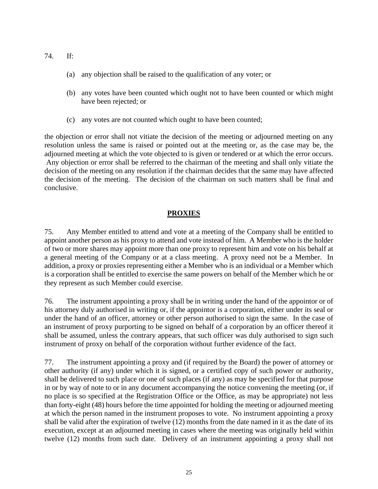- 74. If:
	- (a) any objection shall be raised to the qualification of any voter; or
	- (b) any votes have been counted which ought not to have been counted or which might have been rejected; or
	- (c) any votes are not counted which ought to have been counted;

the objection or error shall not vitiate the decision of the meeting or adjourned meeting on any resolution unless the same is raised or pointed out at the meeting or, as the case may be, the adjourned meeting at which the vote objected to is given or tendered or at which the error occurs. Any objection or error shall be referred to the chairman of the meeting and shall only vitiate the decision of the meeting on any resolution if the chairman decides that the same may have affected the decision of the meeting. The decision of the chairman on such matters shall be final and conclusive.

# **PROXIES**

75. Any Member entitled to attend and vote at a meeting of the Company shall be entitled to appoint another person as his proxy to attend and vote instead of him. A Member who is the holder of two or more shares may appoint more than one proxy to represent him and vote on his behalf at a general meeting of the Company or at a class meeting. A proxy need not be a Member. In addition, a proxy or proxies representing either a Member who is an individual or a Member which is a corporation shall be entitled to exercise the same powers on behalf of the Member which he or they represent as such Member could exercise.

76. The instrument appointing a proxy shall be in writing under the hand of the appointor or of his attorney duly authorised in writing or, if the appointor is a corporation, either under its seal or under the hand of an officer, attorney or other person authorised to sign the same. In the case of an instrument of proxy purporting to be signed on behalf of a corporation by an officer thereof it shall be assumed, unless the contrary appears, that such officer was duly authorised to sign such instrument of proxy on behalf of the corporation without further evidence of the fact.

77. The instrument appointing a proxy and (if required by the Board) the power of attorney or other authority (if any) under which it is signed, or a certified copy of such power or authority, shall be delivered to such place or one of such places (if any) as may be specified for that purpose in or by way of note to or in any document accompanying the notice convening the meeting (or, if no place is so specified at the Registration Office or the Office, as may be appropriate) not less than forty-eight (48) hours before the time appointed for holding the meeting or adjourned meeting at which the person named in the instrument proposes to vote. No instrument appointing a proxy shall be valid after the expiration of twelve (12) months from the date named in it as the date of its execution, except at an adjourned meeting in cases where the meeting was originally held within twelve (12) months from such date. Delivery of an instrument appointing a proxy shall not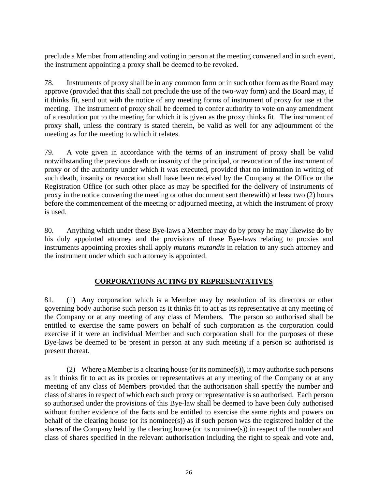preclude a Member from attending and voting in person at the meeting convened and in such event, the instrument appointing a proxy shall be deemed to be revoked.

78. Instruments of proxy shall be in any common form or in such other form as the Board may approve (provided that this shall not preclude the use of the two-way form) and the Board may, if it thinks fit, send out with the notice of any meeting forms of instrument of proxy for use at the meeting. The instrument of proxy shall be deemed to confer authority to vote on any amendment of a resolution put to the meeting for which it is given as the proxy thinks fit. The instrument of proxy shall, unless the contrary is stated therein, be valid as well for any adjournment of the meeting as for the meeting to which it relates.

79. A vote given in accordance with the terms of an instrument of proxy shall be valid notwithstanding the previous death or insanity of the principal, or revocation of the instrument of proxy or of the authority under which it was executed, provided that no intimation in writing of such death, insanity or revocation shall have been received by the Company at the Office or the Registration Office (or such other place as may be specified for the delivery of instruments of proxy in the notice convening the meeting or other document sent therewith) at least two (2) hours before the commencement of the meeting or adjourned meeting, at which the instrument of proxy is used.

80. Anything which under these Bye-laws a Member may do by proxy he may likewise do by his duly appointed attorney and the provisions of these Bye-laws relating to proxies and instruments appointing proxies shall apply *mutatis mutandis* in relation to any such attorney and the instrument under which such attorney is appointed.

## **CORPORATIONS ACTING BY REPRESENTATIVES**

81. (1) Any corporation which is a Member may by resolution of its directors or other governing body authorise such person as it thinks fit to act as its representative at any meeting of the Company or at any meeting of any class of Members. The person so authorised shall be entitled to exercise the same powers on behalf of such corporation as the corporation could exercise if it were an individual Member and such corporation shall for the purposes of these Bye-laws be deemed to be present in person at any such meeting if a person so authorised is present thereat.

(2) Where a Member is a clearing house (or its nominee(s)), it may authorise such persons as it thinks fit to act as its proxies or representatives at any meeting of the Company or at any meeting of any class of Members provided that the authorisation shall specify the number and class of shares in respect of which each such proxy or representative is so authorised. Each person so authorised under the provisions of this Bye-law shall be deemed to have been duly authorised without further evidence of the facts and be entitled to exercise the same rights and powers on behalf of the clearing house (or its nominee(s)) as if such person was the registered holder of the shares of the Company held by the clearing house (or its nominee(s)) in respect of the number and class of shares specified in the relevant authorisation including the right to speak and vote and,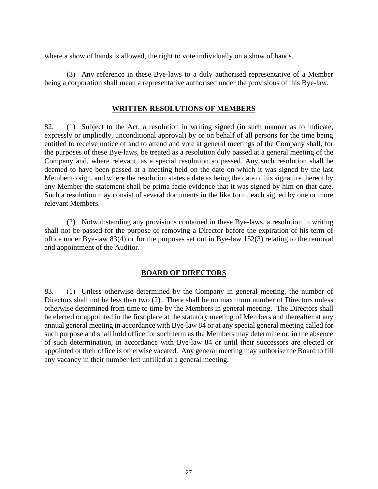where a show of hands is allowed, the right to vote individually on a show of hands.

(3) Any reference in these Bye-laws to a duly authorised representative of a Member being a corporation shall mean a representative authorised under the provisions of this Bye-law.

### **WRITTEN RESOLUTIONS OF MEMBERS**

82. (1) Subject to the Act, a resolution in writing signed (in such manner as to indicate, expressly or impliedly, unconditional approval) by or on behalf of all persons for the time being entitled to receive notice of and to attend and vote at general meetings of the Company shall, for the purposes of these Bye-laws, be treated as a resolution duly passed at a general meeting of the Company and, where relevant, as a special resolution so passed. Any such resolution shall be deemed to have been passed at a meeting held on the date on which it was signed by the last Member to sign, and where the resolution states a date as being the date of his signature thereof by any Member the statement shall be prima facie evidence that it was signed by him on that date. Such a resolution may consist of several documents in the like form, each signed by one or more relevant Members.

(2) Notwithstanding any provisions contained in these Bye-laws, a resolution in writing shall not be passed for the purpose of removing a Director before the expiration of his term of office under Bye-law 83(4) or for the purposes set out in Bye-law 152(3) relating to the removal and appointment of the Auditor.

### **BOARD OF DIRECTORS**

83. (1) Unless otherwise determined by the Company in general meeting, the number of Directors shall not be less than two (2). There shall be no maximum number of Directors unless otherwise determined from time to time by the Members in general meeting. The Directors shall be elected or appointed in the first place at the statutory meeting of Members and thereafter at any annual general meeting in accordance with Bye-law 84 or at any special general meeting called for such purpose and shall hold office for such term as the Members may determine or, in the absence of such determination, in accordance with Bye-law 84 or until their successors are elected or appointed or their office is otherwise vacated. Any general meeting may authorise the Board to fill any vacancy in their number left unfilled at a general meeting.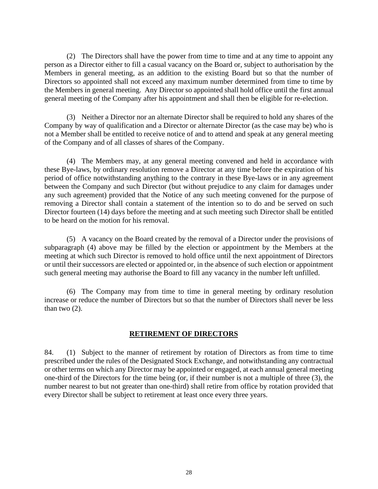(2) The Directors shall have the power from time to time and at any time to appoint any person as a Director either to fill a casual vacancy on the Board or, subject to authorisation by the Members in general meeting, as an addition to the existing Board but so that the number of Directors so appointed shall not exceed any maximum number determined from time to time by the Members in general meeting. Any Director so appointed shall hold office until the first annual general meeting of the Company after his appointment and shall then be eligible for re-election.

(3) Neither a Director nor an alternate Director shall be required to hold any shares of the Company by way of qualification and a Director or alternate Director (as the case may be) who is not a Member shall be entitled to receive notice of and to attend and speak at any general meeting of the Company and of all classes of shares of the Company.

(4) The Members may, at any general meeting convened and held in accordance with these Bye-laws, by ordinary resolution remove a Director at any time before the expiration of his period of office notwithstanding anything to the contrary in these Bye-laws or in any agreement between the Company and such Director (but without prejudice to any claim for damages under any such agreement) provided that the Notice of any such meeting convened for the purpose of removing a Director shall contain a statement of the intention so to do and be served on such Director fourteen (14) days before the meeting and at such meeting such Director shall be entitled to be heard on the motion for his removal.

(5) A vacancy on the Board created by the removal of a Director under the provisions of subparagraph (4) above may be filled by the election or appointment by the Members at the meeting at which such Director is removed to hold office until the next appointment of Directors or until their successors are elected or appointed or, in the absence of such election or appointment such general meeting may authorise the Board to fill any vacancy in the number left unfilled.

(6) The Company may from time to time in general meeting by ordinary resolution increase or reduce the number of Directors but so that the number of Directors shall never be less than two (2).

### **RETIREMENT OF DIRECTORS**

84. (1) Subject to the manner of retirement by rotation of Directors as from time to time prescribed under the rules of the Designated Stock Exchange, and notwithstanding any contractual or other terms on which any Director may be appointed or engaged, at each annual general meeting one-third of the Directors for the time being (or, if their number is not a multiple of three (3), the number nearest to but not greater than one-third) shall retire from office by rotation provided that every Director shall be subject to retirement at least once every three years.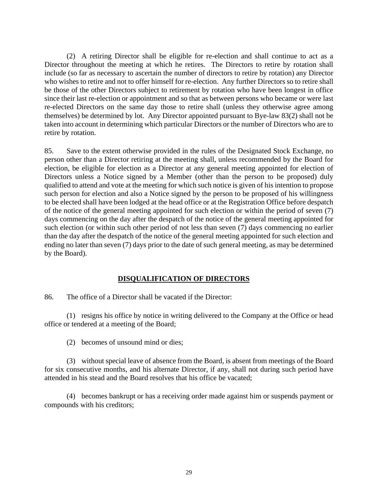(2) A retiring Director shall be eligible for re-election and shall continue to act as a Director throughout the meeting at which he retires. The Directors to retire by rotation shall include (so far as necessary to ascertain the number of directors to retire by rotation) any Director who wishes to retire and not to offer himself for re-election. Any further Directors so to retire shall be those of the other Directors subject to retirement by rotation who have been longest in office since their last re-election or appointment and so that as between persons who became or were last re-elected Directors on the same day those to retire shall (unless they otherwise agree among themselves) be determined by lot. Any Director appointed pursuant to Bye-law 83(2) shall not be taken into account in determining which particular Directors or the number of Directors who are to retire by rotation.

85. Save to the extent otherwise provided in the rules of the Designated Stock Exchange, no person other than a Director retiring at the meeting shall, unless recommended by the Board for election, be eligible for election as a Director at any general meeting appointed for election of Directors unless a Notice signed by a Member (other than the person to be proposed) duly qualified to attend and vote at the meeting for which such notice is given of his intention to propose such person for election and also a Notice signed by the person to be proposed of his willingness to be elected shall have been lodged at the head office or at the Registration Office before despatch of the notice of the general meeting appointed for such election or within the period of seven (7) days commencing on the day after the despatch of the notice of the general meeting appointed for such election (or within such other period of not less than seven (7) days commencing no earlier than the day after the despatch of the notice of the general meeting appointed for such election and ending no later than seven (7) days prior to the date of such general meeting, as may be determined by the Board).

## **DISQUALIFICATION OF DIRECTORS**

86. The office of a Director shall be vacated if the Director:

(1) resigns his office by notice in writing delivered to the Company at the Office or head office or tendered at a meeting of the Board;

(2) becomes of unsound mind or dies;

(3) without special leave of absence from the Board, is absent from meetings of the Board for six consecutive months, and his alternate Director, if any, shall not during such period have attended in his stead and the Board resolves that his office be vacated;

(4) becomes bankrupt or has a receiving order made against him or suspends payment or compounds with his creditors;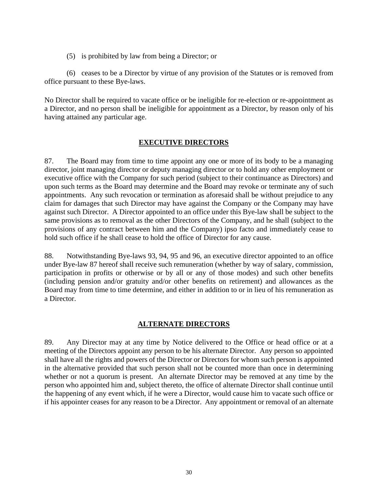(5) is prohibited by law from being a Director; or

(6) ceases to be a Director by virtue of any provision of the Statutes or is removed from office pursuant to these Bye-laws.

No Director shall be required to vacate office or be ineligible for re-election or re-appointment as a Director, and no person shall be ineligible for appointment as a Director, by reason only of his having attained any particular age.

### **EXECUTIVE DIRECTORS**

87. The Board may from time to time appoint any one or more of its body to be a managing director, joint managing director or deputy managing director or to hold any other employment or executive office with the Company for such period (subject to their continuance as Directors) and upon such terms as the Board may determine and the Board may revoke or terminate any of such appointments. Any such revocation or termination as aforesaid shall be without prejudice to any claim for damages that such Director may have against the Company or the Company may have against such Director. A Director appointed to an office under this Bye-law shall be subject to the same provisions as to removal as the other Directors of the Company, and he shall (subject to the provisions of any contract between him and the Company) ipso facto and immediately cease to hold such office if he shall cease to hold the office of Director for any cause.

88. Notwithstanding Bye-laws 93, 94, 95 and 96, an executive director appointed to an office under Bye-law 87 hereof shall receive such remuneration (whether by way of salary, commission, participation in profits or otherwise or by all or any of those modes) and such other benefits (including pension and/or gratuity and/or other benefits on retirement) and allowances as the Board may from time to time determine, and either in addition to or in lieu of his remuneration as a Director.

### **ALTERNATE DIRECTORS**

89. Any Director may at any time by Notice delivered to the Office or head office or at a meeting of the Directors appoint any person to be his alternate Director. Any person so appointed shall have all the rights and powers of the Director or Directors for whom such person is appointed in the alternative provided that such person shall not be counted more than once in determining whether or not a quorum is present. An alternate Director may be removed at any time by the person who appointed him and, subject thereto, the office of alternate Director shall continue until the happening of any event which, if he were a Director, would cause him to vacate such office or if his appointer ceases for any reason to be a Director. Any appointment or removal of an alternate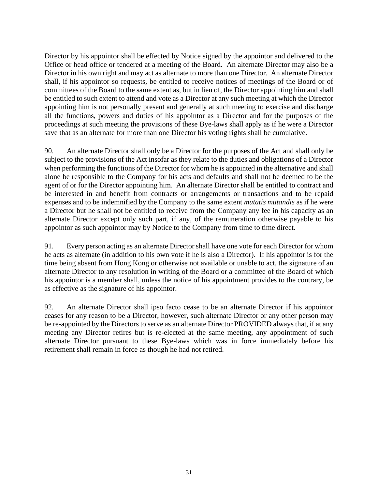Director by his appointor shall be effected by Notice signed by the appointor and delivered to the Office or head office or tendered at a meeting of the Board. An alternate Director may also be a Director in his own right and may act as alternate to more than one Director. An alternate Director shall, if his appointor so requests, be entitled to receive notices of meetings of the Board or of committees of the Board to the same extent as, but in lieu of, the Director appointing him and shall be entitled to such extent to attend and vote as a Director at any such meeting at which the Director appointing him is not personally present and generally at such meeting to exercise and discharge all the functions, powers and duties of his appointor as a Director and for the purposes of the proceedings at such meeting the provisions of these Bye-laws shall apply as if he were a Director save that as an alternate for more than one Director his voting rights shall be cumulative.

90. An alternate Director shall only be a Director for the purposes of the Act and shall only be subject to the provisions of the Act insofar as they relate to the duties and obligations of a Director when performing the functions of the Director for whom he is appointed in the alternative and shall alone be responsible to the Company for his acts and defaults and shall not be deemed to be the agent of or for the Director appointing him. An alternate Director shall be entitled to contract and be interested in and benefit from contracts or arrangements or transactions and to be repaid expenses and to be indemnified by the Company to the same extent *mutatis mutandis* as if he were a Director but he shall not be entitled to receive from the Company any fee in his capacity as an alternate Director except only such part, if any, of the remuneration otherwise payable to his appointor as such appointor may by Notice to the Company from time to time direct.

91. Every person acting as an alternate Director shall have one vote for each Director for whom he acts as alternate (in addition to his own vote if he is also a Director). If his appointor is for the time being absent from Hong Kong or otherwise not available or unable to act, the signature of an alternate Director to any resolution in writing of the Board or a committee of the Board of which his appointor is a member shall, unless the notice of his appointment provides to the contrary, be as effective as the signature of his appointor.

92. An alternate Director shall ipso facto cease to be an alternate Director if his appointor ceases for any reason to be a Director, however, such alternate Director or any other person may be re-appointed by the Directors to serve as an alternate Director PROVIDED always that, if at any meeting any Director retires but is re-elected at the same meeting, any appointment of such alternate Director pursuant to these Bye-laws which was in force immediately before his retirement shall remain in force as though he had not retired.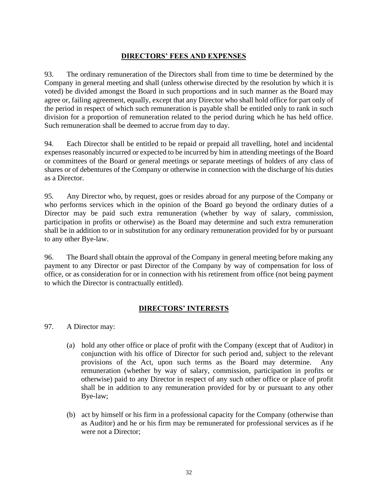## **DIRECTORS' FEES AND EXPENSES**

93. The ordinary remuneration of the Directors shall from time to time be determined by the Company in general meeting and shall (unless otherwise directed by the resolution by which it is voted) be divided amongst the Board in such proportions and in such manner as the Board may agree or, failing agreement, equally, except that any Director who shall hold office for part only of the period in respect of which such remuneration is payable shall be entitled only to rank in such division for a proportion of remuneration related to the period during which he has held office. Such remuneration shall be deemed to accrue from day to day.

94. Each Director shall be entitled to be repaid or prepaid all travelling, hotel and incidental expenses reasonably incurred or expected to be incurred by him in attending meetings of the Board or committees of the Board or general meetings or separate meetings of holders of any class of shares or of debentures of the Company or otherwise in connection with the discharge of his duties as a Director.

95. Any Director who, by request, goes or resides abroad for any purpose of the Company or who performs services which in the opinion of the Board go beyond the ordinary duties of a Director may be paid such extra remuneration (whether by way of salary, commission, participation in profits or otherwise) as the Board may determine and such extra remuneration shall be in addition to or in substitution for any ordinary remuneration provided for by or pursuant to any other Bye-law.

96. The Board shall obtain the approval of the Company in general meeting before making any payment to any Director or past Director of the Company by way of compensation for loss of office, or as consideration for or in connection with his retirement from office (not being payment to which the Director is contractually entitled).

## **DIRECTORS' INTERESTS**

- 97. A Director may:
	- (a) hold any other office or place of profit with the Company (except that of Auditor) in conjunction with his office of Director for such period and, subject to the relevant provisions of the Act, upon such terms as the Board may determine. Any remuneration (whether by way of salary, commission, participation in profits or otherwise) paid to any Director in respect of any such other office or place of profit shall be in addition to any remuneration provided for by or pursuant to any other Bye-law;
	- (b) act by himself or his firm in a professional capacity for the Company (otherwise than as Auditor) and he or his firm may be remunerated for professional services as if he were not a Director;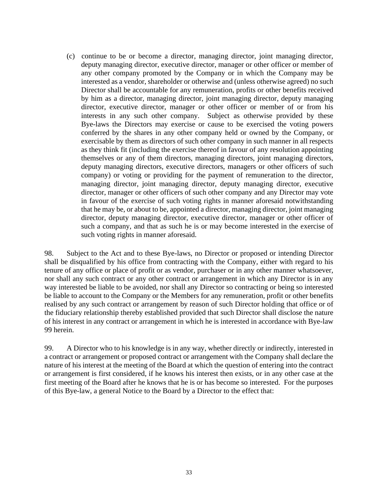(c) continue to be or become a director, managing director, joint managing director, deputy managing director, executive director, manager or other officer or member of any other company promoted by the Company or in which the Company may be interested as a vendor, shareholder or otherwise and (unless otherwise agreed) no such Director shall be accountable for any remuneration, profits or other benefits received by him as a director, managing director, joint managing director, deputy managing director, executive director, manager or other officer or member of or from his interests in any such other company. Subject as otherwise provided by these Bye-laws the Directors may exercise or cause to be exercised the voting powers conferred by the shares in any other company held or owned by the Company, or exercisable by them as directors of such other company in such manner in all respects as they think fit (including the exercise thereof in favour of any resolution appointing themselves or any of them directors, managing directors, joint managing directors, deputy managing directors, executive directors, managers or other officers of such company) or voting or providing for the payment of remuneration to the director, managing director, joint managing director, deputy managing director, executive director, manager or other officers of such other company and any Director may vote in favour of the exercise of such voting rights in manner aforesaid notwithstanding that he may be, or about to be, appointed a director, managing director, joint managing director, deputy managing director, executive director, manager or other officer of such a company, and that as such he is or may become interested in the exercise of such voting rights in manner aforesaid.

98. Subject to the Act and to these Bye-laws, no Director or proposed or intending Director shall be disqualified by his office from contracting with the Company, either with regard to his tenure of any office or place of profit or as vendor, purchaser or in any other manner whatsoever, nor shall any such contract or any other contract or arrangement in which any Director is in any way interested be liable to be avoided, nor shall any Director so contracting or being so interested be liable to account to the Company or the Members for any remuneration, profit or other benefits realised by any such contract or arrangement by reason of such Director holding that office or of the fiduciary relationship thereby established provided that such Director shall disclose the nature of his interest in any contract or arrangement in which he is interested in accordance with Bye-law 99 herein.

99. A Director who to his knowledge is in any way, whether directly or indirectly, interested in a contract or arrangement or proposed contract or arrangement with the Company shall declare the nature of his interest at the meeting of the Board at which the question of entering into the contract or arrangement is first considered, if he knows his interest then exists, or in any other case at the first meeting of the Board after he knows that he is or has become so interested. For the purposes of this Bye-law, a general Notice to the Board by a Director to the effect that: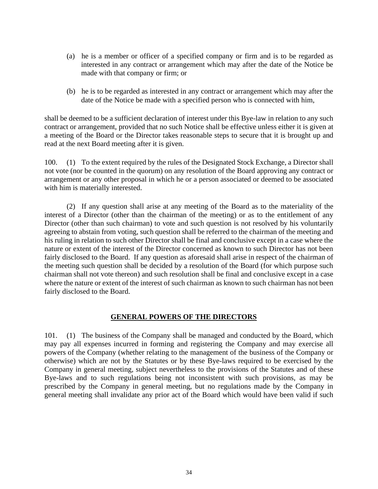- (a) he is a member or officer of a specified company or firm and is to be regarded as interested in any contract or arrangement which may after the date of the Notice be made with that company or firm; or
- (b) he is to be regarded as interested in any contract or arrangement which may after the date of the Notice be made with a specified person who is connected with him,

shall be deemed to be a sufficient declaration of interest under this Bye-law in relation to any such contract or arrangement, provided that no such Notice shall be effective unless either it is given at a meeting of the Board or the Director takes reasonable steps to secure that it is brought up and read at the next Board meeting after it is given.

100. (1) To the extent required by the rules of the Designated Stock Exchange, a Director shall not vote (nor be counted in the quorum) on any resolution of the Board approving any contract or arrangement or any other proposal in which he or a person associated or deemed to be associated with him is materially interested.

(2) If any question shall arise at any meeting of the Board as to the materiality of the interest of a Director (other than the chairman of the meeting) or as to the entitlement of any Director (other than such chairman) to vote and such question is not resolved by his voluntarily agreeing to abstain from voting, such question shall be referred to the chairman of the meeting and his ruling in relation to such other Director shall be final and conclusive except in a case where the nature or extent of the interest of the Director concerned as known to such Director has not been fairly disclosed to the Board. If any question as aforesaid shall arise in respect of the chairman of the meeting such question shall be decided by a resolution of the Board (for which purpose such chairman shall not vote thereon) and such resolution shall be final and conclusive except in a case where the nature or extent of the interest of such chairman as known to such chairman has not been fairly disclosed to the Board.

## **GENERAL POWERS OF THE DIRECTORS**

101. (1) The business of the Company shall be managed and conducted by the Board, which may pay all expenses incurred in forming and registering the Company and may exercise all powers of the Company (whether relating to the management of the business of the Company or otherwise) which are not by the Statutes or by these Bye-laws required to be exercised by the Company in general meeting, subject nevertheless to the provisions of the Statutes and of these Bye-laws and to such regulations being not inconsistent with such provisions, as may be prescribed by the Company in general meeting, but no regulations made by the Company in general meeting shall invalidate any prior act of the Board which would have been valid if such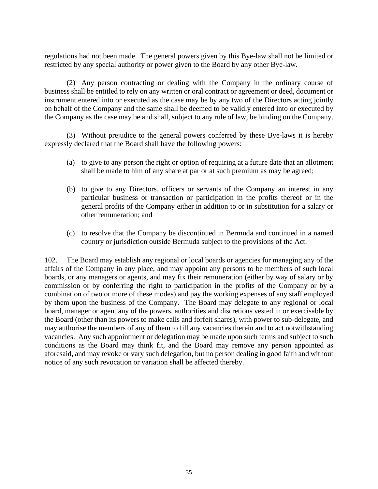regulations had not been made. The general powers given by this Bye-law shall not be limited or restricted by any special authority or power given to the Board by any other Bye-law.

(2) Any person contracting or dealing with the Company in the ordinary course of business shall be entitled to rely on any written or oral contract or agreement or deed, document or instrument entered into or executed as the case may be by any two of the Directors acting jointly on behalf of the Company and the same shall be deemed to be validly entered into or executed by the Company as the case may be and shall, subject to any rule of law, be binding on the Company.

(3) Without prejudice to the general powers conferred by these Bye-laws it is hereby expressly declared that the Board shall have the following powers:

- (a) to give to any person the right or option of requiring at a future date that an allotment shall be made to him of any share at par or at such premium as may be agreed;
- (b) to give to any Directors, officers or servants of the Company an interest in any particular business or transaction or participation in the profits thereof or in the general profits of the Company either in addition to or in substitution for a salary or other remuneration; and
- (c) to resolve that the Company be discontinued in Bermuda and continued in a named country or jurisdiction outside Bermuda subject to the provisions of the Act.

102. The Board may establish any regional or local boards or agencies for managing any of the affairs of the Company in any place, and may appoint any persons to be members of such local boards, or any managers or agents, and may fix their remuneration (either by way of salary or by commission or by conferring the right to participation in the profits of the Company or by a combination of two or more of these modes) and pay the working expenses of any staff employed by them upon the business of the Company. The Board may delegate to any regional or local board, manager or agent any of the powers, authorities and discretions vested in or exercisable by the Board (other than its powers to make calls and forfeit shares), with power to sub-delegate, and may authorise the members of any of them to fill any vacancies therein and to act notwithstanding vacancies. Any such appointment or delegation may be made upon such terms and subject to such conditions as the Board may think fit, and the Board may remove any person appointed as aforesaid, and may revoke or vary such delegation, but no person dealing in good faith and without notice of any such revocation or variation shall be affected thereby.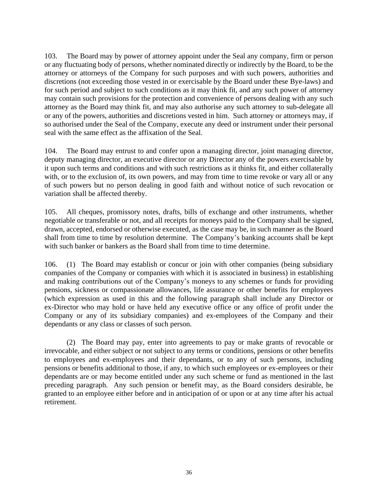103. The Board may by power of attorney appoint under the Seal any company, firm or person or any fluctuating body of persons, whether nominated directly or indirectly by the Board, to be the attorney or attorneys of the Company for such purposes and with such powers, authorities and discretions (not exceeding those vested in or exercisable by the Board under these Bye-laws) and for such period and subject to such conditions as it may think fit, and any such power of attorney may contain such provisions for the protection and convenience of persons dealing with any such attorney as the Board may think fit, and may also authorise any such attorney to sub-delegate all or any of the powers, authorities and discretions vested in him. Such attorney or attorneys may, if so authorised under the Seal of the Company, execute any deed or instrument under their personal seal with the same effect as the affixation of the Seal.

104. The Board may entrust to and confer upon a managing director, joint managing director, deputy managing director, an executive director or any Director any of the powers exercisable by it upon such terms and conditions and with such restrictions as it thinks fit, and either collaterally with, or to the exclusion of, its own powers, and may from time to time revoke or vary all or any of such powers but no person dealing in good faith and without notice of such revocation or variation shall be affected thereby.

105. All cheques, promissory notes, drafts, bills of exchange and other instruments, whether negotiable or transferable or not, and all receipts for moneys paid to the Company shall be signed, drawn, accepted, endorsed or otherwise executed, as the case may be, in such manner as the Board shall from time to time by resolution determine. The Company's banking accounts shall be kept with such banker or bankers as the Board shall from time to time determine.

106. (1) The Board may establish or concur or join with other companies (being subsidiary companies of the Company or companies with which it is associated in business) in establishing and making contributions out of the Company's moneys to any schemes or funds for providing pensions, sickness or compassionate allowances, life assurance or other benefits for employees (which expression as used in this and the following paragraph shall include any Director or ex-Director who may hold or have held any executive office or any office of profit under the Company or any of its subsidiary companies) and ex-employees of the Company and their dependants or any class or classes of such person.

(2) The Board may pay, enter into agreements to pay or make grants of revocable or irrevocable, and either subject or not subject to any terms or conditions, pensions or other benefits to employees and ex-employees and their dependants, or to any of such persons, including pensions or benefits additional to those, if any, to which such employees or ex-employees or their dependants are or may become entitled under any such scheme or fund as mentioned in the last preceding paragraph. Any such pension or benefit may, as the Board considers desirable, be granted to an employee either before and in anticipation of or upon or at any time after his actual retirement.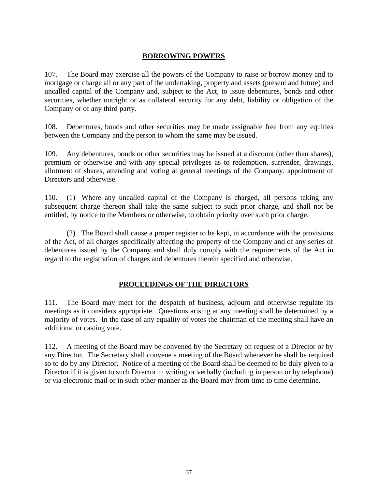## **BORROWING POWERS**

107. The Board may exercise all the powers of the Company to raise or borrow money and to mortgage or charge all or any part of the undertaking, property and assets (present and future) and uncalled capital of the Company and, subject to the Act, to issue debentures, bonds and other securities, whether outright or as collateral security for any debt, liability or obligation of the Company or of any third party.

108. Debentures, bonds and other securities may be made assignable free from any equities between the Company and the person to whom the same may be issued.

109. Any debentures, bonds or other securities may be issued at a discount (other than shares), premium or otherwise and with any special privileges as to redemption, surrender, drawings, allotment of shares, attending and voting at general meetings of the Company, appointment of Directors and otherwise.

110. (1) Where any uncalled capital of the Company is charged, all persons taking any subsequent charge thereon shall take the same subject to such prior charge, and shall not be entitled, by notice to the Members or otherwise, to obtain priority over such prior charge.

(2) The Board shall cause a proper register to be kept, in accordance with the provisions of the Act, of all charges specifically affecting the property of the Company and of any series of debentures issued by the Company and shall duly comply with the requirements of the Act in regard to the registration of charges and debentures therein specified and otherwise.

## **PROCEEDINGS OF THE DIRECTORS**

111. The Board may meet for the despatch of business, adjourn and otherwise regulate its meetings as it considers appropriate. Questions arising at any meeting shall be determined by a majority of votes. In the case of any equality of votes the chairman of the meeting shall have an additional or casting vote.

112. A meeting of the Board may be convened by the Secretary on request of a Director or by any Director. The Secretary shall convene a meeting of the Board whenever he shall be required so to do by any Director. Notice of a meeting of the Board shall be deemed to be duly given to a Director if it is given to such Director in writing or verbally (including in person or by telephone) or via electronic mail or in such other manner as the Board may from time to time determine.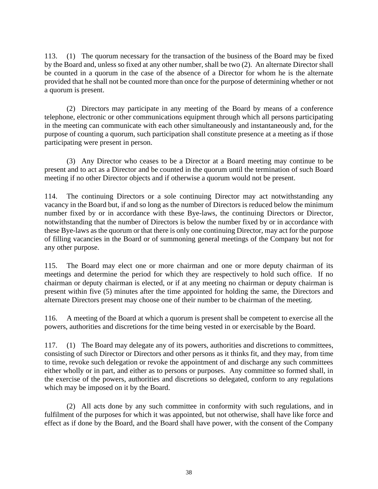113. (1) The quorum necessary for the transaction of the business of the Board may be fixed by the Board and, unless so fixed at any other number, shall be two (2). An alternate Director shall be counted in a quorum in the case of the absence of a Director for whom he is the alternate provided that he shall not be counted more than once for the purpose of determining whether or not a quorum is present.

(2) Directors may participate in any meeting of the Board by means of a conference telephone, electronic or other communications equipment through which all persons participating in the meeting can communicate with each other simultaneously and instantaneously and, for the purpose of counting a quorum, such participation shall constitute presence at a meeting as if those participating were present in person.

(3) Any Director who ceases to be a Director at a Board meeting may continue to be present and to act as a Director and be counted in the quorum until the termination of such Board meeting if no other Director objects and if otherwise a quorum would not be present.

114. The continuing Directors or a sole continuing Director may act notwithstanding any vacancy in the Board but, if and so long as the number of Directors is reduced below the minimum number fixed by or in accordance with these Bye-laws, the continuing Directors or Director, notwithstanding that the number of Directors is below the number fixed by or in accordance with these Bye-laws as the quorum or that there is only one continuing Director, may act for the purpose of filling vacancies in the Board or of summoning general meetings of the Company but not for any other purpose.

115. The Board may elect one or more chairman and one or more deputy chairman of its meetings and determine the period for which they are respectively to hold such office. If no chairman or deputy chairman is elected, or if at any meeting no chairman or deputy chairman is present within five (5) minutes after the time appointed for holding the same, the Directors and alternate Directors present may choose one of their number to be chairman of the meeting.

116. A meeting of the Board at which a quorum is present shall be competent to exercise all the powers, authorities and discretions for the time being vested in or exercisable by the Board.

117. (1) The Board may delegate any of its powers, authorities and discretions to committees, consisting of such Director or Directors and other persons as it thinks fit, and they may, from time to time, revoke such delegation or revoke the appointment of and discharge any such committees either wholly or in part, and either as to persons or purposes. Any committee so formed shall, in the exercise of the powers, authorities and discretions so delegated, conform to any regulations which may be imposed on it by the Board.

(2) All acts done by any such committee in conformity with such regulations, and in fulfilment of the purposes for which it was appointed, but not otherwise, shall have like force and effect as if done by the Board, and the Board shall have power, with the consent of the Company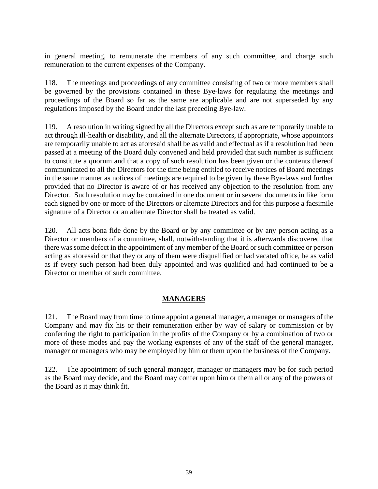in general meeting, to remunerate the members of any such committee, and charge such remuneration to the current expenses of the Company.

118. The meetings and proceedings of any committee consisting of two or more members shall be governed by the provisions contained in these Bye-laws for regulating the meetings and proceedings of the Board so far as the same are applicable and are not superseded by any regulations imposed by the Board under the last preceding Bye-law.

119. A resolution in writing signed by all the Directors except such as are temporarily unable to act through ill-health or disability, and all the alternate Directors, if appropriate, whose appointors are temporarily unable to act as aforesaid shall be as valid and effectual as if a resolution had been passed at a meeting of the Board duly convened and held provided that such number is sufficient to constitute a quorum and that a copy of such resolution has been given or the contents thereof communicated to all the Directors for the time being entitled to receive notices of Board meetings in the same manner as notices of meetings are required to be given by these Bye-laws and further provided that no Director is aware of or has received any objection to the resolution from any Director. Such resolution may be contained in one document or in several documents in like form each signed by one or more of the Directors or alternate Directors and for this purpose a facsimile signature of a Director or an alternate Director shall be treated as valid.

120. All acts bona fide done by the Board or by any committee or by any person acting as a Director or members of a committee, shall, notwithstanding that it is afterwards discovered that there was some defect in the appointment of any member of the Board or such committee or person acting as aforesaid or that they or any of them were disqualified or had vacated office, be as valid as if every such person had been duly appointed and was qualified and had continued to be a Director or member of such committee.

## **MANAGERS**

121. The Board may from time to time appoint a general manager, a manager or managers of the Company and may fix his or their remuneration either by way of salary or commission or by conferring the right to participation in the profits of the Company or by a combination of two or more of these modes and pay the working expenses of any of the staff of the general manager, manager or managers who may be employed by him or them upon the business of the Company.

122. The appointment of such general manager, manager or managers may be for such period as the Board may decide, and the Board may confer upon him or them all or any of the powers of the Board as it may think fit.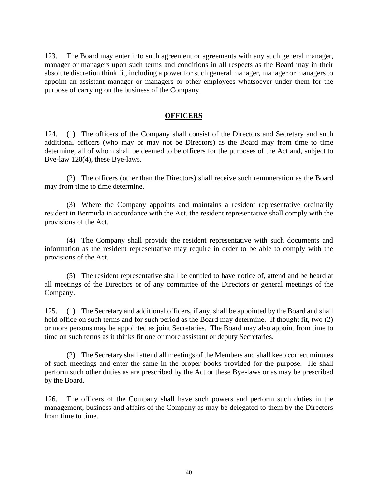123. The Board may enter into such agreement or agreements with any such general manager, manager or managers upon such terms and conditions in all respects as the Board may in their absolute discretion think fit, including a power for such general manager, manager or managers to appoint an assistant manager or managers or other employees whatsoever under them for the purpose of carrying on the business of the Company.

### **OFFICERS**

124. (1) The officers of the Company shall consist of the Directors and Secretary and such additional officers (who may or may not be Directors) as the Board may from time to time determine, all of whom shall be deemed to be officers for the purposes of the Act and, subject to Bye-law 128(4), these Bye-laws.

(2) The officers (other than the Directors) shall receive such remuneration as the Board may from time to time determine.

(3) Where the Company appoints and maintains a resident representative ordinarily resident in Bermuda in accordance with the Act, the resident representative shall comply with the provisions of the Act.

(4) The Company shall provide the resident representative with such documents and information as the resident representative may require in order to be able to comply with the provisions of the Act.

(5) The resident representative shall be entitled to have notice of, attend and be heard at all meetings of the Directors or of any committee of the Directors or general meetings of the Company.

125. (1) The Secretary and additional officers, if any, shall be appointed by the Board and shall hold office on such terms and for such period as the Board may determine. If thought fit, two (2) or more persons may be appointed as joint Secretaries. The Board may also appoint from time to time on such terms as it thinks fit one or more assistant or deputy Secretaries.

(2) The Secretary shall attend all meetings of the Members and shall keep correct minutes of such meetings and enter the same in the proper books provided for the purpose. He shall perform such other duties as are prescribed by the Act or these Bye-laws or as may be prescribed by the Board.

126. The officers of the Company shall have such powers and perform such duties in the management, business and affairs of the Company as may be delegated to them by the Directors from time to time.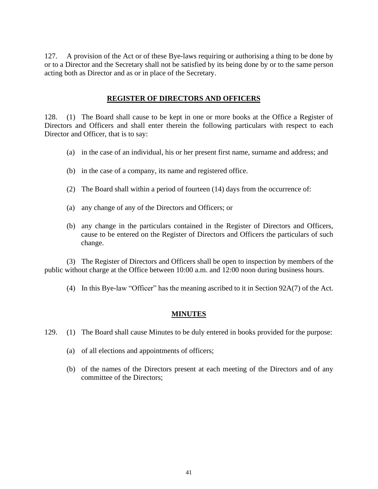127. A provision of the Act or of these Bye-laws requiring or authorising a thing to be done by or to a Director and the Secretary shall not be satisfied by its being done by or to the same person acting both as Director and as or in place of the Secretary.

### **REGISTER OF DIRECTORS AND OFFICERS**

128. (1) The Board shall cause to be kept in one or more books at the Office a Register of Directors and Officers and shall enter therein the following particulars with respect to each Director and Officer, that is to say:

- (a) in the case of an individual, his or her present first name, surname and address; and
- (b) in the case of a company, its name and registered office.
- (2) The Board shall within a period of fourteen (14) days from the occurrence of:
- (a) any change of any of the Directors and Officers; or
- (b) any change in the particulars contained in the Register of Directors and Officers, cause to be entered on the Register of Directors and Officers the particulars of such change.

(3) The Register of Directors and Officers shall be open to inspection by members of the public without charge at the Office between 10:00 a.m. and 12:00 noon during business hours.

(4) In this Bye-law "Officer" has the meaning ascribed to it in Section 92A(7) of the Act.

## **MINUTES**

129. (1) The Board shall cause Minutes to be duly entered in books provided for the purpose:

- (a) of all elections and appointments of officers;
- (b) of the names of the Directors present at each meeting of the Directors and of any committee of the Directors;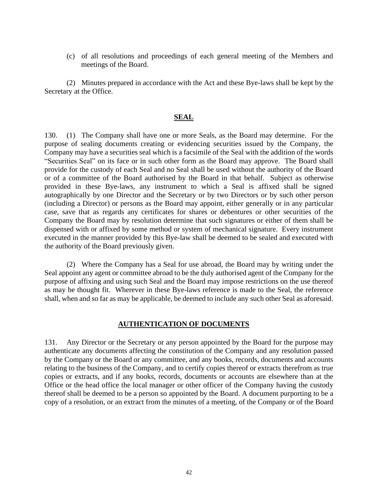(c) of all resolutions and proceedings of each general meeting of the Members and meetings of the Board.

(2) Minutes prepared in accordance with the Act and these Bye-laws shall be kept by the Secretary at the Office.

### **SEAL**

130. (1) The Company shall have one or more Seals, as the Board may determine. For the purpose of sealing documents creating or evidencing securities issued by the Company, the Company may have a securities seal which is a facsimile of the Seal with the addition of the words "Securities Seal" on its face or in such other form as the Board may approve. The Board shall provide for the custody of each Seal and no Seal shall be used without the authority of the Board or of a committee of the Board authorised by the Board in that behalf. Subject as otherwise provided in these Bye-laws, any instrument to which a Seal is affixed shall be signed autographically by one Director and the Secretary or by two Directors or by such other person (including a Director) or persons as the Board may appoint, either generally or in any particular case, save that as regards any certificates for shares or debentures or other securities of the Company the Board may by resolution determine that such signatures or either of them shall be dispensed with or affixed by some method or system of mechanical signature. Every instrument executed in the manner provided by this Bye-law shall be deemed to be sealed and executed with the authority of the Board previously given.

(2) Where the Company has a Seal for use abroad, the Board may by writing under the Seal appoint any agent or committee abroad to be the duly authorised agent of the Company for the purpose of affixing and using such Seal and the Board may impose restrictions on the use thereof as may be thought fit. Wherever in these Bye-laws reference is made to the Seal, the reference shall, when and so far as may be applicable, be deemed to include any such other Seal as aforesaid.

### **AUTHENTICATION OF DOCUMENTS**

131. Any Director or the Secretary or any person appointed by the Board for the purpose may authenticate any documents affecting the constitution of the Company and any resolution passed by the Company or the Board or any committee, and any books, records, documents and accounts relating to the business of the Company, and to certify copies thereof or extracts therefrom as true copies or extracts, and if any books, records, documents or accounts are elsewhere than at the Office or the head office the local manager or other officer of the Company having the custody thereof shall be deemed to be a person so appointed by the Board. A document purporting to be a copy of a resolution, or an extract from the minutes of a meeting, of the Company or of the Board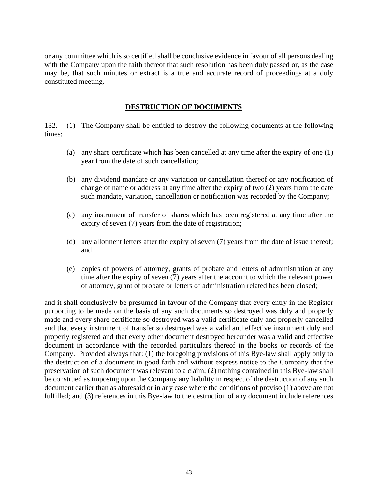or any committee which is so certified shall be conclusive evidence in favour of all persons dealing with the Company upon the faith thereof that such resolution has been duly passed or, as the case may be, that such minutes or extract is a true and accurate record of proceedings at a duly constituted meeting.

### **DESTRUCTION OF DOCUMENTS**

132. (1) The Company shall be entitled to destroy the following documents at the following times:

- (a) any share certificate which has been cancelled at any time after the expiry of one (1) year from the date of such cancellation;
- (b) any dividend mandate or any variation or cancellation thereof or any notification of change of name or address at any time after the expiry of two (2) years from the date such mandate, variation, cancellation or notification was recorded by the Company;
- (c) any instrument of transfer of shares which has been registered at any time after the expiry of seven (7) years from the date of registration;
- (d) any allotment letters after the expiry of seven (7) years from the date of issue thereof; and
- (e) copies of powers of attorney, grants of probate and letters of administration at any time after the expiry of seven (7) years after the account to which the relevant power of attorney, grant of probate or letters of administration related has been closed;

and it shall conclusively be presumed in favour of the Company that every entry in the Register purporting to be made on the basis of any such documents so destroyed was duly and properly made and every share certificate so destroyed was a valid certificate duly and properly cancelled and that every instrument of transfer so destroyed was a valid and effective instrument duly and properly registered and that every other document destroyed hereunder was a valid and effective document in accordance with the recorded particulars thereof in the books or records of the Company. Provided always that: (1) the foregoing provisions of this Bye-law shall apply only to the destruction of a document in good faith and without express notice to the Company that the preservation of such document was relevant to a claim; (2) nothing contained in this Bye-law shall be construed as imposing upon the Company any liability in respect of the destruction of any such document earlier than as aforesaid or in any case where the conditions of proviso (1) above are not fulfilled; and (3) references in this Bye-law to the destruction of any document include references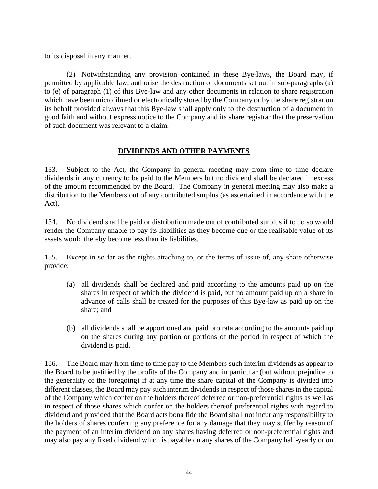to its disposal in any manner.

(2) Notwithstanding any provision contained in these Bye-laws, the Board may, if permitted by applicable law, authorise the destruction of documents set out in sub-paragraphs (a) to (e) of paragraph (1) of this Bye-law and any other documents in relation to share registration which have been microfilmed or electronically stored by the Company or by the share registrar on its behalf provided always that this Bye-law shall apply only to the destruction of a document in good faith and without express notice to the Company and its share registrar that the preservation of such document was relevant to a claim.

## **DIVIDENDS AND OTHER PAYMENTS**

133. Subject to the Act, the Company in general meeting may from time to time declare dividends in any currency to be paid to the Members but no dividend shall be declared in excess of the amount recommended by the Board. The Company in general meeting may also make a distribution to the Members out of any contributed surplus (as ascertained in accordance with the Act).

134. No dividend shall be paid or distribution made out of contributed surplus if to do so would render the Company unable to pay its liabilities as they become due or the realisable value of its assets would thereby become less than its liabilities.

135. Except in so far as the rights attaching to, or the terms of issue of, any share otherwise provide:

- (a) all dividends shall be declared and paid according to the amounts paid up on the shares in respect of which the dividend is paid, but no amount paid up on a share in advance of calls shall be treated for the purposes of this Bye-law as paid up on the share; and
- (b) all dividends shall be apportioned and paid pro rata according to the amounts paid up on the shares during any portion or portions of the period in respect of which the dividend is paid.

136. The Board may from time to time pay to the Members such interim dividends as appear to the Board to be justified by the profits of the Company and in particular (but without prejudice to the generality of the foregoing) if at any time the share capital of the Company is divided into different classes, the Board may pay such interim dividends in respect of those shares in the capital of the Company which confer on the holders thereof deferred or non-preferential rights as well as in respect of those shares which confer on the holders thereof preferential rights with regard to dividend and provided that the Board acts bona fide the Board shall not incur any responsibility to the holders of shares conferring any preference for any damage that they may suffer by reason of the payment of an interim dividend on any shares having deferred or non-preferential rights and may also pay any fixed dividend which is payable on any shares of the Company half-yearly or on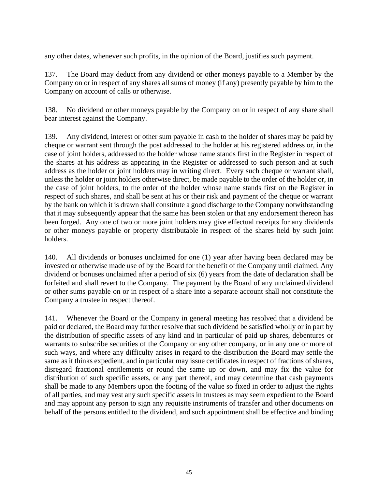any other dates, whenever such profits, in the opinion of the Board, justifies such payment.

137. The Board may deduct from any dividend or other moneys payable to a Member by the Company on or in respect of any shares all sums of money (if any) presently payable by him to the Company on account of calls or otherwise.

138. No dividend or other moneys payable by the Company on or in respect of any share shall bear interest against the Company.

139. Any dividend, interest or other sum payable in cash to the holder of shares may be paid by cheque or warrant sent through the post addressed to the holder at his registered address or, in the case of joint holders, addressed to the holder whose name stands first in the Register in respect of the shares at his address as appearing in the Register or addressed to such person and at such address as the holder or joint holders may in writing direct. Every such cheque or warrant shall, unless the holder or joint holders otherwise direct, be made payable to the order of the holder or, in the case of joint holders, to the order of the holder whose name stands first on the Register in respect of such shares, and shall be sent at his or their risk and payment of the cheque or warrant by the bank on which it is drawn shall constitute a good discharge to the Company notwithstanding that it may subsequently appear that the same has been stolen or that any endorsement thereon has been forged. Any one of two or more joint holders may give effectual receipts for any dividends or other moneys payable or property distributable in respect of the shares held by such joint holders.

140. All dividends or bonuses unclaimed for one (1) year after having been declared may be invested or otherwise made use of by the Board for the benefit of the Company until claimed. Any dividend or bonuses unclaimed after a period of six (6) years from the date of declaration shall be forfeited and shall revert to the Company. The payment by the Board of any unclaimed dividend or other sums payable on or in respect of a share into a separate account shall not constitute the Company a trustee in respect thereof.

141. Whenever the Board or the Company in general meeting has resolved that a dividend be paid or declared, the Board may further resolve that such dividend be satisfied wholly or in part by the distribution of specific assets of any kind and in particular of paid up shares, debentures or warrants to subscribe securities of the Company or any other company, or in any one or more of such ways, and where any difficulty arises in regard to the distribution the Board may settle the same as it thinks expedient, and in particular may issue certificates in respect of fractions of shares, disregard fractional entitlements or round the same up or down, and may fix the value for distribution of such specific assets, or any part thereof, and may determine that cash payments shall be made to any Members upon the footing of the value so fixed in order to adjust the rights of all parties, and may vest any such specific assets in trustees as may seem expedient to the Board and may appoint any person to sign any requisite instruments of transfer and other documents on behalf of the persons entitled to the dividend, and such appointment shall be effective and binding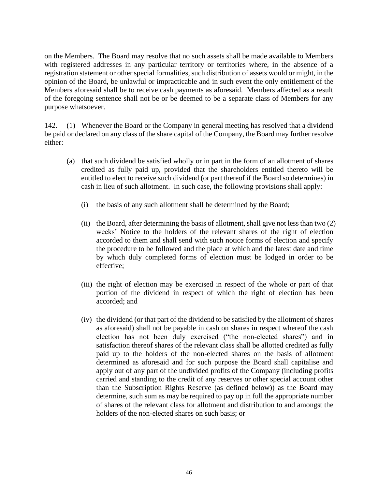on the Members. The Board may resolve that no such assets shall be made available to Members with registered addresses in any particular territory or territories where, in the absence of a registration statement or other special formalities, such distribution of assets would or might, in the opinion of the Board, be unlawful or impracticable and in such event the only entitlement of the Members aforesaid shall be to receive cash payments as aforesaid. Members affected as a result of the foregoing sentence shall not be or be deemed to be a separate class of Members for any purpose whatsoever.

142. (1) Whenever the Board or the Company in general meeting has resolved that a dividend be paid or declared on any class of the share capital of the Company, the Board may further resolve either:

- (a) that such dividend be satisfied wholly or in part in the form of an allotment of shares credited as fully paid up, provided that the shareholders entitled thereto will be entitled to elect to receive such dividend (or part thereof if the Board so determines) in cash in lieu of such allotment. In such case, the following provisions shall apply:
	- (i) the basis of any such allotment shall be determined by the Board;
	- (ii) the Board, after determining the basis of allotment, shall give not less than two (2) weeks' Notice to the holders of the relevant shares of the right of election accorded to them and shall send with such notice forms of election and specify the procedure to be followed and the place at which and the latest date and time by which duly completed forms of election must be lodged in order to be effective;
	- (iii) the right of election may be exercised in respect of the whole or part of that portion of the dividend in respect of which the right of election has been accorded; and
	- (iv) the dividend (or that part of the dividend to be satisfied by the allotment of shares as aforesaid) shall not be payable in cash on shares in respect whereof the cash election has not been duly exercised ("the non-elected shares") and in satisfaction thereof shares of the relevant class shall be allotted credited as fully paid up to the holders of the non-elected shares on the basis of allotment determined as aforesaid and for such purpose the Board shall capitalise and apply out of any part of the undivided profits of the Company (including profits carried and standing to the credit of any reserves or other special account other than the Subscription Rights Reserve (as defined below)) as the Board may determine, such sum as may be required to pay up in full the appropriate number of shares of the relevant class for allotment and distribution to and amongst the holders of the non-elected shares on such basis; or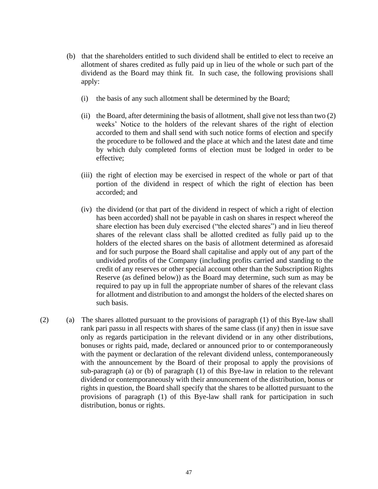- (b) that the shareholders entitled to such dividend shall be entitled to elect to receive an allotment of shares credited as fully paid up in lieu of the whole or such part of the dividend as the Board may think fit. In such case, the following provisions shall apply:
	- (i) the basis of any such allotment shall be determined by the Board;
	- (ii) the Board, after determining the basis of allotment, shall give not less than two (2) weeks' Notice to the holders of the relevant shares of the right of election accorded to them and shall send with such notice forms of election and specify the procedure to be followed and the place at which and the latest date and time by which duly completed forms of election must be lodged in order to be effective;
	- (iii) the right of election may be exercised in respect of the whole or part of that portion of the dividend in respect of which the right of election has been accorded; and
	- (iv) the dividend (or that part of the dividend in respect of which a right of election has been accorded) shall not be payable in cash on shares in respect whereof the share election has been duly exercised ("the elected shares") and in lieu thereof shares of the relevant class shall be allotted credited as fully paid up to the holders of the elected shares on the basis of allotment determined as aforesaid and for such purpose the Board shall capitalise and apply out of any part of the undivided profits of the Company (including profits carried and standing to the credit of any reserves or other special account other than the Subscription Rights Reserve (as defined below)) as the Board may determine, such sum as may be required to pay up in full the appropriate number of shares of the relevant class for allotment and distribution to and amongst the holders of the elected shares on such basis.
- (2) (a) The shares allotted pursuant to the provisions of paragraph (1) of this Bye-law shall rank pari passu in all respects with shares of the same class (if any) then in issue save only as regards participation in the relevant dividend or in any other distributions, bonuses or rights paid, made, declared or announced prior to or contemporaneously with the payment or declaration of the relevant dividend unless, contemporaneously with the announcement by the Board of their proposal to apply the provisions of sub-paragraph (a) or (b) of paragraph (1) of this Bye-law in relation to the relevant dividend or contemporaneously with their announcement of the distribution, bonus or rights in question, the Board shall specify that the shares to be allotted pursuant to the provisions of paragraph (1) of this Bye-law shall rank for participation in such distribution, bonus or rights.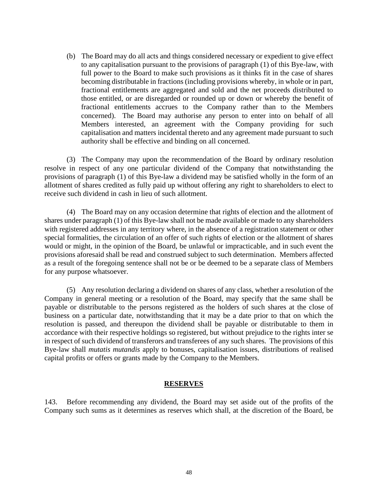(b) The Board may do all acts and things considered necessary or expedient to give effect to any capitalisation pursuant to the provisions of paragraph (1) of this Bye-law, with full power to the Board to make such provisions as it thinks fit in the case of shares becoming distributable in fractions (including provisions whereby, in whole or in part, fractional entitlements are aggregated and sold and the net proceeds distributed to those entitled, or are disregarded or rounded up or down or whereby the benefit of fractional entitlements accrues to the Company rather than to the Members concerned). The Board may authorise any person to enter into on behalf of all Members interested, an agreement with the Company providing for such capitalisation and matters incidental thereto and any agreement made pursuant to such authority shall be effective and binding on all concerned.

(3) The Company may upon the recommendation of the Board by ordinary resolution resolve in respect of any one particular dividend of the Company that notwithstanding the provisions of paragraph (1) of this Bye-law a dividend may be satisfied wholly in the form of an allotment of shares credited as fully paid up without offering any right to shareholders to elect to receive such dividend in cash in lieu of such allotment.

(4) The Board may on any occasion determine that rights of election and the allotment of shares under paragraph (1) of this Bye-law shall not be made available or made to any shareholders with registered addresses in any territory where, in the absence of a registration statement or other special formalities, the circulation of an offer of such rights of election or the allotment of shares would or might, in the opinion of the Board, be unlawful or impracticable, and in such event the provisions aforesaid shall be read and construed subject to such determination. Members affected as a result of the foregoing sentence shall not be or be deemed to be a separate class of Members for any purpose whatsoever.

(5) Any resolution declaring a dividend on shares of any class, whether a resolution of the Company in general meeting or a resolution of the Board, may specify that the same shall be payable or distributable to the persons registered as the holders of such shares at the close of business on a particular date, notwithstanding that it may be a date prior to that on which the resolution is passed, and thereupon the dividend shall be payable or distributable to them in accordance with their respective holdings so registered, but without prejudice to the rights inter se in respect of such dividend of transferors and transferees of any such shares. The provisions of this Bye-law shall *mutatis mutandis* apply to bonuses, capitalisation issues, distributions of realised capital profits or offers or grants made by the Company to the Members.

### **RESERVES**

143. Before recommending any dividend, the Board may set aside out of the profits of the Company such sums as it determines as reserves which shall, at the discretion of the Board, be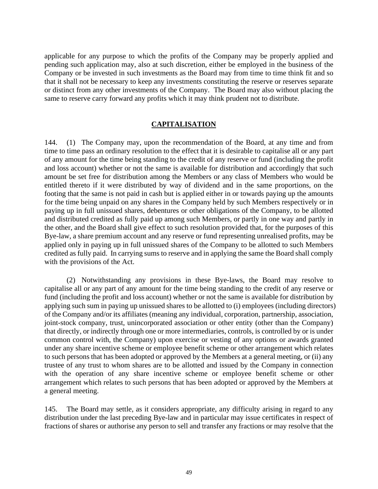applicable for any purpose to which the profits of the Company may be properly applied and pending such application may, also at such discretion, either be employed in the business of the Company or be invested in such investments as the Board may from time to time think fit and so that it shall not be necessary to keep any investments constituting the reserve or reserves separate or distinct from any other investments of the Company. The Board may also without placing the same to reserve carry forward any profits which it may think prudent not to distribute.

### **CAPITALISATION**

144. (1) The Company may, upon the recommendation of the Board, at any time and from time to time pass an ordinary resolution to the effect that it is desirable to capitalise all or any part of any amount for the time being standing to the credit of any reserve or fund (including the profit and loss account) whether or not the same is available for distribution and accordingly that such amount be set free for distribution among the Members or any class of Members who would be entitled thereto if it were distributed by way of dividend and in the same proportions, on the footing that the same is not paid in cash but is applied either in or towards paying up the amounts for the time being unpaid on any shares in the Company held by such Members respectively or in paying up in full unissued shares, debentures or other obligations of the Company, to be allotted and distributed credited as fully paid up among such Members, or partly in one way and partly in the other, and the Board shall give effect to such resolution provided that, for the purposes of this Bye-law, a share premium account and any reserve or fund representing unrealised profits, may be applied only in paying up in full unissued shares of the Company to be allotted to such Members credited as fully paid. In carrying sums to reserve and in applying the same the Board shall comply with the provisions of the Act.

(2) Notwithstanding any provisions in these Bye-laws, the Board may resolve to capitalise all or any part of any amount for the time being standing to the credit of any reserve or fund (including the profit and loss account) whether or not the same is available for distribution by applying such sum in paying up unissued shares to be allotted to (i) employees (including directors) of the Company and/or its affiliates (meaning any individual, corporation, partnership, association, joint-stock company, trust, unincorporated association or other entity (other than the Company) that directly, or indirectly through one or more intermediaries, controls, is controlled by or is under common control with, the Company) upon exercise or vesting of any options or awards granted under any share incentive scheme or employee benefit scheme or other arrangement which relates to such persons that has been adopted or approved by the Members at a general meeting, or (ii) any trustee of any trust to whom shares are to be allotted and issued by the Company in connection with the operation of any share incentive scheme or employee benefit scheme or other arrangement which relates to such persons that has been adopted or approved by the Members at a general meeting.

145. The Board may settle, as it considers appropriate, any difficulty arising in regard to any distribution under the last preceding Bye-law and in particular may issue certificates in respect of fractions of shares or authorise any person to sell and transfer any fractions or may resolve that the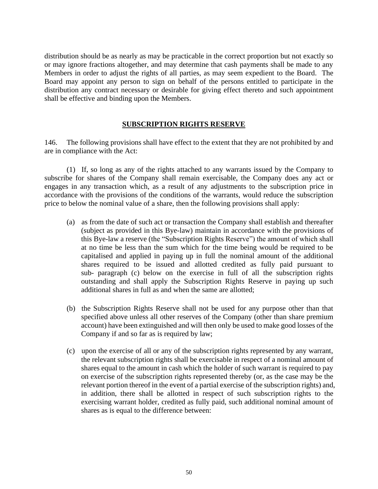distribution should be as nearly as may be practicable in the correct proportion but not exactly so or may ignore fractions altogether, and may determine that cash payments shall be made to any Members in order to adjust the rights of all parties, as may seem expedient to the Board. The Board may appoint any person to sign on behalf of the persons entitled to participate in the distribution any contract necessary or desirable for giving effect thereto and such appointment shall be effective and binding upon the Members.

## **SUBSCRIPTION RIGHTS RESERVE**

146. The following provisions shall have effect to the extent that they are not prohibited by and are in compliance with the Act:

(1) If, so long as any of the rights attached to any warrants issued by the Company to subscribe for shares of the Company shall remain exercisable, the Company does any act or engages in any transaction which, as a result of any adjustments to the subscription price in accordance with the provisions of the conditions of the warrants, would reduce the subscription price to below the nominal value of a share, then the following provisions shall apply:

- (a) as from the date of such act or transaction the Company shall establish and thereafter (subject as provided in this Bye-law) maintain in accordance with the provisions of this Bye-law a reserve (the "Subscription Rights Reserve") the amount of which shall at no time be less than the sum which for the time being would be required to be capitalised and applied in paying up in full the nominal amount of the additional shares required to be issued and allotted credited as fully paid pursuant to sub- paragraph (c) below on the exercise in full of all the subscription rights outstanding and shall apply the Subscription Rights Reserve in paying up such additional shares in full as and when the same are allotted;
- (b) the Subscription Rights Reserve shall not be used for any purpose other than that specified above unless all other reserves of the Company (other than share premium account) have been extinguished and will then only be used to make good losses of the Company if and so far as is required by law;
- (c) upon the exercise of all or any of the subscription rights represented by any warrant, the relevant subscription rights shall be exercisable in respect of a nominal amount of shares equal to the amount in cash which the holder of such warrant is required to pay on exercise of the subscription rights represented thereby (or, as the case may be the relevant portion thereof in the event of a partial exercise of the subscription rights) and, in addition, there shall be allotted in respect of such subscription rights to the exercising warrant holder, credited as fully paid, such additional nominal amount of shares as is equal to the difference between: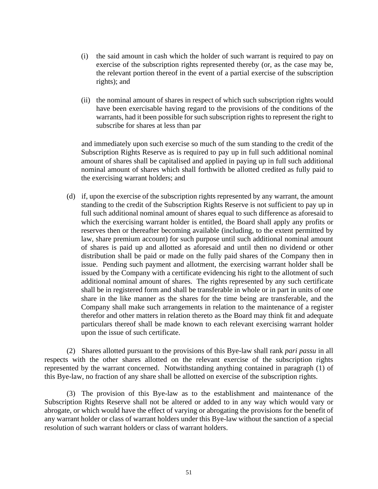- (i) the said amount in cash which the holder of such warrant is required to pay on exercise of the subscription rights represented thereby (or, as the case may be, the relevant portion thereof in the event of a partial exercise of the subscription rights); and
- (ii) the nominal amount of shares in respect of which such subscription rights would have been exercisable having regard to the provisions of the conditions of the warrants, had it been possible for such subscription rights to represent the right to subscribe for shares at less than par

and immediately upon such exercise so much of the sum standing to the credit of the Subscription Rights Reserve as is required to pay up in full such additional nominal amount of shares shall be capitalised and applied in paying up in full such additional nominal amount of shares which shall forthwith be allotted credited as fully paid to the exercising warrant holders; and

(d) if, upon the exercise of the subscription rights represented by any warrant, the amount standing to the credit of the Subscription Rights Reserve is not sufficient to pay up in full such additional nominal amount of shares equal to such difference as aforesaid to which the exercising warrant holder is entitled, the Board shall apply any profits or reserves then or thereafter becoming available (including, to the extent permitted by law, share premium account) for such purpose until such additional nominal amount of shares is paid up and allotted as aforesaid and until then no dividend or other distribution shall be paid or made on the fully paid shares of the Company then in issue. Pending such payment and allotment, the exercising warrant holder shall be issued by the Company with a certificate evidencing his right to the allotment of such additional nominal amount of shares. The rights represented by any such certificate shall be in registered form and shall be transferable in whole or in part in units of one share in the like manner as the shares for the time being are transferable, and the Company shall make such arrangements in relation to the maintenance of a register therefor and other matters in relation thereto as the Board may think fit and adequate particulars thereof shall be made known to each relevant exercising warrant holder upon the issue of such certificate.

(2) Shares allotted pursuant to the provisions of this Bye-law shall rank *pari passu* in all respects with the other shares allotted on the relevant exercise of the subscription rights represented by the warrant concerned. Notwithstanding anything contained in paragraph (1) of this Bye-law, no fraction of any share shall be allotted on exercise of the subscription rights.

(3) The provision of this Bye-law as to the establishment and maintenance of the Subscription Rights Reserve shall not be altered or added to in any way which would vary or abrogate, or which would have the effect of varying or abrogating the provisions for the benefit of any warrant holder or class of warrant holders under this Bye-law without the sanction of a special resolution of such warrant holders or class of warrant holders.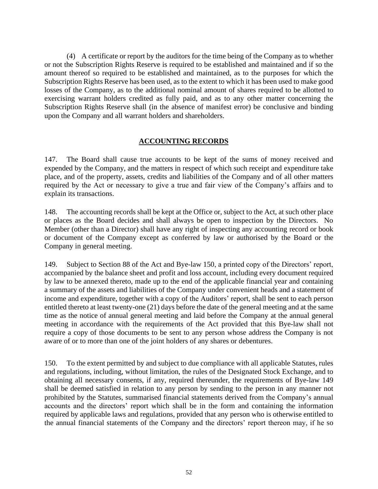(4) A certificate or report by the auditors for the time being of the Company as to whether or not the Subscription Rights Reserve is required to be established and maintained and if so the amount thereof so required to be established and maintained, as to the purposes for which the Subscription Rights Reserve has been used, as to the extent to which it has been used to make good losses of the Company, as to the additional nominal amount of shares required to be allotted to exercising warrant holders credited as fully paid, and as to any other matter concerning the Subscription Rights Reserve shall (in the absence of manifest error) be conclusive and binding upon the Company and all warrant holders and shareholders.

## **ACCOUNTING RECORDS**

147. The Board shall cause true accounts to be kept of the sums of money received and expended by the Company, and the matters in respect of which such receipt and expenditure take place, and of the property, assets, credits and liabilities of the Company and of all other matters required by the Act or necessary to give a true and fair view of the Company's affairs and to explain its transactions.

148. The accounting records shall be kept at the Office or, subject to the Act, at such other place or places as the Board decides and shall always be open to inspection by the Directors. No Member (other than a Director) shall have any right of inspecting any accounting record or book or document of the Company except as conferred by law or authorised by the Board or the Company in general meeting.

149. Subject to Section 88 of the Act and Bye-law 150, a printed copy of the Directors' report, accompanied by the balance sheet and profit and loss account, including every document required by law to be annexed thereto, made up to the end of the applicable financial year and containing a summary of the assets and liabilities of the Company under convenient heads and a statement of income and expenditure, together with a copy of the Auditors' report, shall be sent to each person entitled thereto at least twenty-one (21) days before the date of the general meeting and at the same time as the notice of annual general meeting and laid before the Company at the annual general meeting in accordance with the requirements of the Act provided that this Bye-law shall not require a copy of those documents to be sent to any person whose address the Company is not aware of or to more than one of the joint holders of any shares or debentures.

150. To the extent permitted by and subject to due compliance with all applicable Statutes, rules and regulations, including, without limitation, the rules of the Designated Stock Exchange, and to obtaining all necessary consents, if any, required thereunder, the requirements of Bye-law 149 shall be deemed satisfied in relation to any person by sending to the person in any manner not prohibited by the Statutes, summarised financial statements derived from the Company's annual accounts and the directors' report which shall be in the form and containing the information required by applicable laws and regulations, provided that any person who is otherwise entitled to the annual financial statements of the Company and the directors' report thereon may, if he so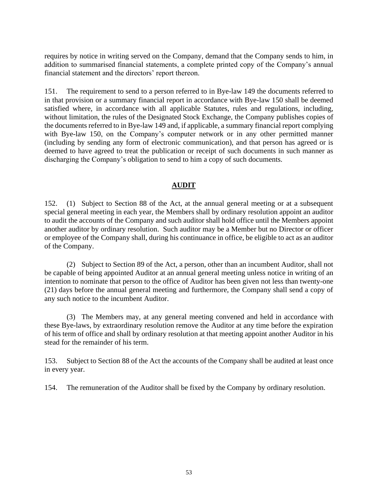requires by notice in writing served on the Company, demand that the Company sends to him, in addition to summarised financial statements, a complete printed copy of the Company's annual financial statement and the directors' report thereon.

151. The requirement to send to a person referred to in Bye-law 149 the documents referred to in that provision or a summary financial report in accordance with Bye-law 150 shall be deemed satisfied where, in accordance with all applicable Statutes, rules and regulations, including, without limitation, the rules of the Designated Stock Exchange, the Company publishes copies of the documents referred to in Bye-law 149 and, if applicable, a summary financial report complying with Bye-law 150, on the Company's computer network or in any other permitted manner (including by sending any form of electronic communication), and that person has agreed or is deemed to have agreed to treat the publication or receipt of such documents in such manner as discharging the Company's obligation to send to him a copy of such documents.

# **AUDIT**

152. (1) Subject to Section 88 of the Act, at the annual general meeting or at a subsequent special general meeting in each year, the Members shall by ordinary resolution appoint an auditor to audit the accounts of the Company and such auditor shall hold office until the Members appoint another auditor by ordinary resolution. Such auditor may be a Member but no Director or officer or employee of the Company shall, during his continuance in office, be eligible to act as an auditor of the Company.

(2) Subject to Section 89 of the Act, a person, other than an incumbent Auditor, shall not be capable of being appointed Auditor at an annual general meeting unless notice in writing of an intention to nominate that person to the office of Auditor has been given not less than twenty-one (21) days before the annual general meeting and furthermore, the Company shall send a copy of any such notice to the incumbent Auditor.

(3) The Members may, at any general meeting convened and held in accordance with these Bye-laws, by extraordinary resolution remove the Auditor at any time before the expiration of his term of office and shall by ordinary resolution at that meeting appoint another Auditor in his stead for the remainder of his term.

153. Subject to Section 88 of the Act the accounts of the Company shall be audited at least once in every year.

154. The remuneration of the Auditor shall be fixed by the Company by ordinary resolution.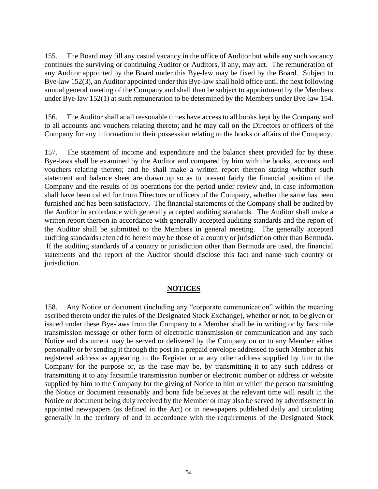155. The Board may fill any casual vacancy in the office of Auditor but while any such vacancy continues the surviving or continuing Auditor or Auditors, if any, may act. The remuneration of any Auditor appointed by the Board under this Bye-law may be fixed by the Board. Subject to Bye-law 152(3), an Auditor appointed under this Bye-law shall hold office until the next following annual general meeting of the Company and shall then be subject to appointment by the Members under Bye-law 152(1) at such remuneration to be determined by the Members under Bye-law 154.

156. The Auditor shall at all reasonable times have access to all books kept by the Company and to all accounts and vouchers relating thereto; and he may call on the Directors or officers of the Company for any information in their possession relating to the books or affairs of the Company.

157. The statement of income and expenditure and the balance sheet provided for by these Bye-laws shall be examined by the Auditor and compared by him with the books, accounts and vouchers relating thereto; and he shall make a written report thereon stating whether such statement and balance sheet are drawn up so as to present fairly the financial position of the Company and the results of its operations for the period under review and, in case information shall have been called for from Directors or officers of the Company, whether the same has been furnished and has been satisfactory. The financial statements of the Company shall be audited by the Auditor in accordance with generally accepted auditing standards. The Auditor shall make a written report thereon in accordance with generally accepted auditing standards and the report of the Auditor shall be submitted to the Members in general meeting. The generally accepted auditing standards referred to herein may be those of a country or jurisdiction other than Bermuda. If the auditing standards of a country or jurisdiction other than Bermuda are used, the financial statements and the report of the Auditor should disclose this fact and name such country or jurisdiction.

#### **NOTICES**

158. Any Notice or document (including any "corporate communication" within the meaning ascribed thereto under the rules of the Designated Stock Exchange), whether or not, to be given or issued under these Bye-laws from the Company to a Member shall be in writing or by facsimile transmission message or other form of electronic transmission or communication and any such Notice and document may be served or delivered by the Company on or to any Member either personally or by sending it through the post in a prepaid envelope addressed to such Member at his registered address as appearing in the Register or at any other address supplied by him to the Company for the purpose or, as the case may be, by transmitting it to any such address or transmitting it to any facsimile transmission number or electronic number or address or website supplied by him to the Company for the giving of Notice to him or which the person transmitting the Notice or document reasonably and bona fide believes at the relevant time will result in the Notice or document being duly received by the Member or may also be served by advertisement in appointed newspapers (as defined in the Act) or in newspapers published daily and circulating generally in the territory of and in accordance with the requirements of the Designated Stock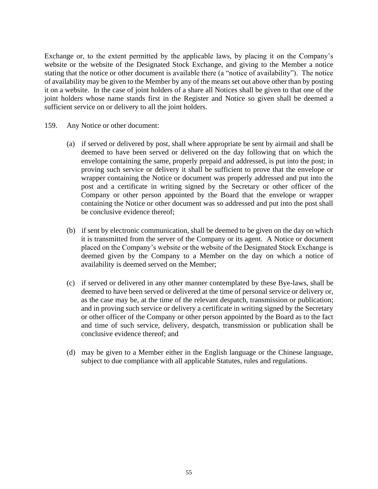Exchange or, to the extent permitted by the applicable laws, by placing it on the Company's website or the website of the Designated Stock Exchange, and giving to the Member a notice stating that the notice or other document is available there (a "notice of availability"). The notice of availability may be given to the Member by any of the means set out above other than by posting it on a website. In the case of joint holders of a share all Notices shall be given to that one of the joint holders whose name stands first in the Register and Notice so given shall be deemed a sufficient service on or delivery to all the joint holders.

- 159. Any Notice or other document:
	- (a) if served or delivered by post, shall where appropriate be sent by airmail and shall be deemed to have been served or delivered on the day following that on which the envelope containing the same, properly prepaid and addressed, is put into the post; in proving such service or delivery it shall be sufficient to prove that the envelope or wrapper containing the Notice or document was properly addressed and put into the post and a certificate in writing signed by the Secretary or other officer of the Company or other person appointed by the Board that the envelope or wrapper containing the Notice or other document was so addressed and put into the post shall be conclusive evidence thereof;
	- (b) if sent by electronic communication, shall be deemed to be given on the day on which it is transmitted from the server of the Company or its agent. A Notice or document placed on the Company's website or the website of the Designated Stock Exchange is deemed given by the Company to a Member on the day on which a notice of availability is deemed served on the Member;
	- (c) if served or delivered in any other manner contemplated by these Bye-laws, shall be deemed to have been served or delivered at the time of personal service or delivery or, as the case may be, at the time of the relevant despatch, transmission or publication; and in proving such service or delivery a certificate in writing signed by the Secretary or other officer of the Company or other person appointed by the Board as to the fact and time of such service, delivery, despatch, transmission or publication shall be conclusive evidence thereof; and
	- (d) may be given to a Member either in the English language or the Chinese language, subject to due compliance with all applicable Statutes, rules and regulations.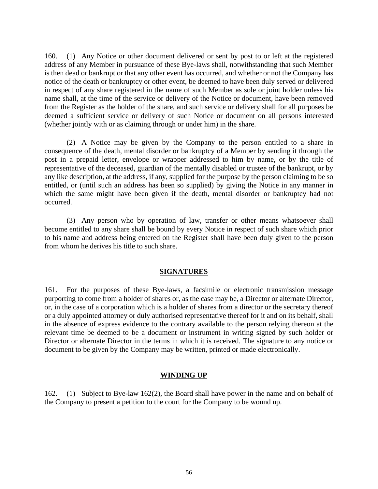160. (1) Any Notice or other document delivered or sent by post to or left at the registered address of any Member in pursuance of these Bye-laws shall, notwithstanding that such Member is then dead or bankrupt or that any other event has occurred, and whether or not the Company has notice of the death or bankruptcy or other event, be deemed to have been duly served or delivered in respect of any share registered in the name of such Member as sole or joint holder unless his name shall, at the time of the service or delivery of the Notice or document, have been removed from the Register as the holder of the share, and such service or delivery shall for all purposes be deemed a sufficient service or delivery of such Notice or document on all persons interested (whether jointly with or as claiming through or under him) in the share.

(2) A Notice may be given by the Company to the person entitled to a share in consequence of the death, mental disorder or bankruptcy of a Member by sending it through the post in a prepaid letter, envelope or wrapper addressed to him by name, or by the title of representative of the deceased, guardian of the mentally disabled or trustee of the bankrupt, or by any like description, at the address, if any, supplied for the purpose by the person claiming to be so entitled, or (until such an address has been so supplied) by giving the Notice in any manner in which the same might have been given if the death, mental disorder or bankruptcy had not occurred.

(3) Any person who by operation of law, transfer or other means whatsoever shall become entitled to any share shall be bound by every Notice in respect of such share which prior to his name and address being entered on the Register shall have been duly given to the person from whom he derives his title to such share.

#### **SIGNATURES**

161. For the purposes of these Bye-laws, a facsimile or electronic transmission message purporting to come from a holder of shares or, as the case may be, a Director or alternate Director, or, in the case of a corporation which is a holder of shares from a director or the secretary thereof or a duly appointed attorney or duly authorised representative thereof for it and on its behalf, shall in the absence of express evidence to the contrary available to the person relying thereon at the relevant time be deemed to be a document or instrument in writing signed by such holder or Director or alternate Director in the terms in which it is received. The signature to any notice or document to be given by the Company may be written, printed or made electronically.

#### **WINDING UP**

162. (1) Subject to Bye-law 162(2), the Board shall have power in the name and on behalf of the Company to present a petition to the court for the Company to be wound up.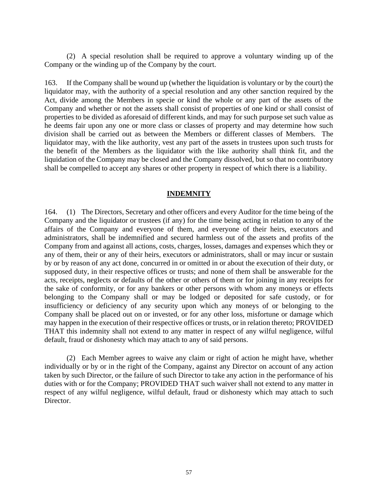(2) A special resolution shall be required to approve a voluntary winding up of the Company or the winding up of the Company by the court.

163. If the Company shall be wound up (whether the liquidation is voluntary or by the court) the liquidator may, with the authority of a special resolution and any other sanction required by the Act, divide among the Members in specie or kind the whole or any part of the assets of the Company and whether or not the assets shall consist of properties of one kind or shall consist of properties to be divided as aforesaid of different kinds, and may for such purpose set such value as he deems fair upon any one or more class or classes of property and may determine how such division shall be carried out as between the Members or different classes of Members. The liquidator may, with the like authority, vest any part of the assets in trustees upon such trusts for the benefit of the Members as the liquidator with the like authority shall think fit, and the liquidation of the Company may be closed and the Company dissolved, but so that no contributory shall be compelled to accept any shares or other property in respect of which there is a liability.

#### **INDEMNITY**

164. (1) The Directors, Secretary and other officers and every Auditor for the time being of the Company and the liquidator or trustees (if any) for the time being acting in relation to any of the affairs of the Company and everyone of them, and everyone of their heirs, executors and administrators, shall be indemnified and secured harmless out of the assets and profits of the Company from and against all actions, costs, charges, losses, damages and expenses which they or any of them, their or any of their heirs, executors or administrators, shall or may incur or sustain by or by reason of any act done, concurred in or omitted in or about the execution of their duty, or supposed duty, in their respective offices or trusts; and none of them shall be answerable for the acts, receipts, neglects or defaults of the other or others of them or for joining in any receipts for the sake of conformity, or for any bankers or other persons with whom any moneys or effects belonging to the Company shall or may be lodged or deposited for safe custody, or for insufficiency or deficiency of any security upon which any moneys of or belonging to the Company shall be placed out on or invested, or for any other loss, misfortune or damage which may happen in the execution of their respective offices or trusts, or in relation thereto; PROVIDED THAT this indemnity shall not extend to any matter in respect of any wilful negligence, wilful default, fraud or dishonesty which may attach to any of said persons.

(2) Each Member agrees to waive any claim or right of action he might have, whether individually or by or in the right of the Company, against any Director on account of any action taken by such Director, or the failure of such Director to take any action in the performance of his duties with or for the Company; PROVIDED THAT such waiver shall not extend to any matter in respect of any wilful negligence, wilful default, fraud or dishonesty which may attach to such Director.